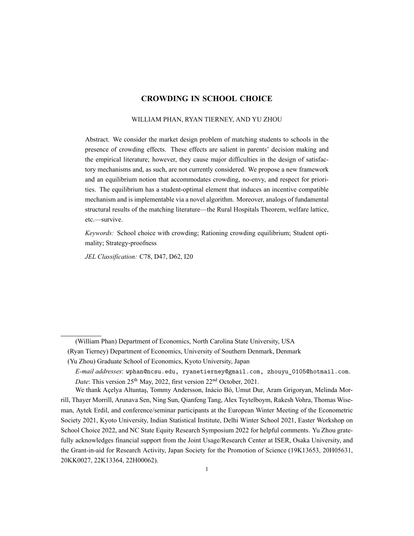### **CROWDING IN SCHOOL CHOICE**

#### WILLIAM PHAN, RYAN TIERNEY, AND YU ZHOU

Abstract. We consider the market design problem of matching students to schools in the presence of crowding effects. These effects are salient in parents' decision making and the empirical literature; however, they cause major difficulties in the design of satisfactory mechanisms and, as such, are not currently considered. We propose a new framework and an equilibrium notion that accommodates crowding, noenvy, and respect for priorities. The equilibrium has a student-optimal element that induces an incentive compatible mechanism and is implementable via a novel algorithm. Moreover, analogs of fundamental structural results of the matching literature—the Rural Hospitals Theorem, welfare lattice, etc.—survive.

*Keywords:* School choice with crowding; Rationing crowding equilibrium; Student optimality; Strategy-proofness

*JEL Classification:* C78, D47, D62, I20

<sup>(</sup>William Phan) Department of Economics, North Carolina State University, USA

<sup>(</sup>Ryan Tierney) Department of Economics, University of Southern Denmark, Denmark

<sup>(</sup>Yu Zhou) Graduate School of Economics, Kyoto University, Japan

*Email addresses*: wphan@ncsu.edu, ryanetierney@gmail.com, zhouyu\_0105@hotmail.com. *Date*: This version 25<sup>th</sup> May, 2022, first version 22<sup>nd</sup> October, 2021.

We thank Açelya Altuntaş, Tommy Andersson, Inácio Bó, Umut Dur, Aram Grigoryan, Melinda Morrill, Thayer Morrill, Arunava Sen, Ning Sun, Qianfeng Tang, Alex Teytelboym, Rakesh Vohra, Thomas Wiseman, Aytek Erdil, and conference/seminar participants at the European Winter Meeting of the Econometric Society 2021, Kyoto University, Indian Statistical Institute, Delhi Winter School 2021, Easter Workshop on School Choice 2022, and NC State Equity Research Symposium 2022 for helpful comments. Yu Zhou gratefully acknowledges financial support from the Joint Usage/Research Center at ISER, Osaka University, and the Grant-in-aid for Research Activity, Japan Society for the Promotion of Science (19K13653, 20H05631, 20KK0027, 22K13364, 22H00062).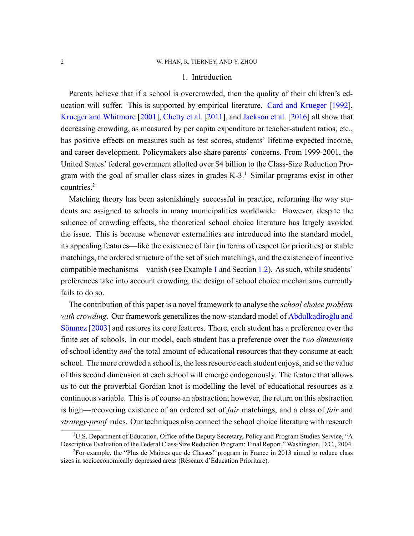### 1. Introduction

<span id="page-1-0"></span>Parents believe that if a school is overcrowded, then the quality of their children's education will suffer. This is supported by empirical literature. [Card and Krueger](#page-45-0) [\[1992](#page-45-0)], [Krueger and Whitmore](#page-46-0) [[2001](#page-46-0)], [Chetty et al.](#page-45-1) [\[2011\]](#page-45-1), and [Jackson et al.](#page-46-1) [\[2016](#page-46-1)] all show that decreasing crowding, as measured by per capita expenditure or teacher-student ratios, etc., has positive effects on measures such as test scores, students' lifetime expected income, and career development. Policymakers also share parents' concerns. From 1999-2001, the United States' federal government allotted over \$4 billion to the Class-Size Reduction Program with the goal of smaller class sizes in grades  $K-3$ <sup>1</sup>. Similar programs exist in other countries.<sup>2</sup>

Matching theory has been astonishingly successful in practice, reforming the way students are assigned to schools in many municipalities worldwide. However, despite the salience of crowding effects, the theoretical school choice literature has largely avoided the issue. This is because whenever externalities are introduced into the standard model, its appealing features—like the existence of fair (in terms of respect for priorities) or stable matchings, the ordered structure of the set of such matchings, and the existence of incentive compatible mechanisms—vanish (see Example [1](#page-6-0) and Section [1.2\)](#page-7-0). As such, while students' preferences take into account crowding, the design of school choice mechanisms currently fails to do so.

The contribution of this paper is a novel framework to analyse the *school choice problem* with crowding. Our framework generalizes the now-standard model of [Abdulkadiroğlu and](#page-44-0) [Sönmez](#page-44-0) [\[2003](#page-44-0)] and restores its core features. There, each student has a preference over the finite set of schools. In our model, each student has a preference over the *two dimensions* of school identity *and* the total amount of educational resources that they consume at each school. The more crowded a school is, the less resource each student enjoys, and so the value of this second dimension at each school will emerge endogenously. The feature that allows us to cut the proverbial Gordian knot is modelling the level of educational resources as a continuous variable. This is of course an abstraction; however, the return on this abstraction is high—recovering existence of an ordered set of *fair* matchings, and a class of *fair* and *strategy-proof* rules. Our techniques also connect the school choice literature with research

<sup>&</sup>lt;sup>1</sup>U.S. Department of Education, Office of the Deputy Secretary, Policy and Program Studies Service, "A Descriptive Evaluation of the Federal Class-Size Reduction Program: Final Report," Washington, D.C., 2004.

<sup>2</sup>For example, the "Plus de Maîtres que de Classes" program in France in 2013 aimed to reduce class sizes in socioeconomically depressed areas (Réseaux d'Éducation Prioritare).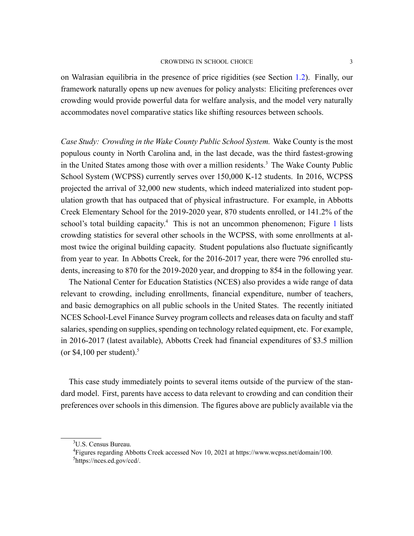on Walrasian equilibria in the presence of price rigidities (see Section [1.2\)](#page-7-1). Finally, our framework naturally opens up new avenues for policy analysts: Eliciting preferences over crowding would provide powerful data for welfare analysis, and the model very naturally accommodates novel comparative statics like shifting resources between schools.

*Case Study: Crowding in the Wake County Public School System.* Wake County is the most populous county in North Carolina and, in the last decade, was the third fastest-growing in the United States among those with over a million residents.<sup>3</sup> The Wake County Public School System (WCPSS) currently serves over  $150,000$  K-12 students. In 2016, WCPSS projected the arrival of 32,000 new students, which indeed materialized into student population growth that has outpaced that of physical infrastructure. For example, in Abbotts Creek Elementary School for the 2019-2020 year, 870 students enrolled, or 141.2% of the school's total building capacity.<sup>4</sup> This is not an uncommon phenomenon; Figure [1](#page-1-0) lists crowding statistics for several other schools in the WCPSS, with some enrollments at almost twice the original building capacity. Student populations also fluctuate significantly from year to year. In Abbotts Creek, for the 2016-2017 year, there were 796 enrolled students, increasing to 870 for the 2019-2020 year, and dropping to 854 in the following year.

The National Center for Education Statistics (NCES) also provides a wide range of data relevant to crowding, including enrollments, financial expenditure, number of teachers, and basic demographics on all public schools in the United States. The recently initiated NCES School-Level Finance Survey program collects and releases data on faculty and staff salaries, spending on supplies, spending on technology related equipment, etc. For example, in 2016-2017 (latest available), Abbotts Creek had financial expenditures of \$3.5 million (or  $$4,100$  per student).<sup>5</sup>

This case study immediately points to several items outside of the purview of the standard model. First, parents have access to data relevant to crowding and can condition their preferences over schools in this dimension. The figures above are publicly available via the

<sup>&</sup>lt;sup>3</sup>U.S. Census Bureau.

<sup>4</sup>Figures regarding Abbotts Creek accessed Nov 10, 2021 at https://www.wcpss.net/domain/100. <sup>5</sup>https://nces.ed.gov/ccd/.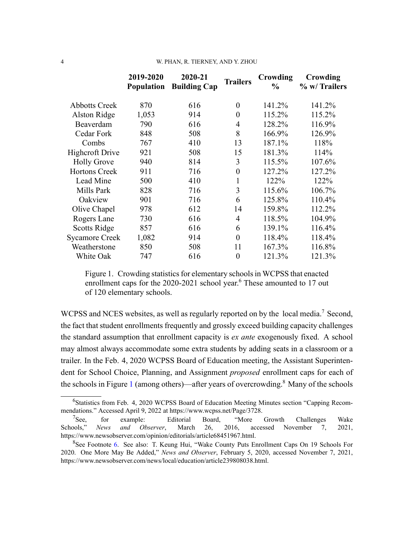#### 4 W. PHAN, R. TIERNEY, AND Y. ZHOU

|                        | 2019-2020<br><b>Population</b> | 2020-21<br><b>Building Cap</b> | <b>Trailers</b> | Crowding<br>$\frac{0}{0}$ | Crowding<br>% w/ Trailers |
|------------------------|--------------------------------|--------------------------------|-----------------|---------------------------|---------------------------|
| <b>Abbotts Creek</b>   | 870                            | 616                            | $\theta$        | 141.2%                    | 141.2%                    |
| Alston Ridge           | 1,053                          | 914                            | $\overline{0}$  | 115.2%                    | 115.2%                    |
| Beaverdam              | 790                            | 616                            | $\overline{4}$  | 128.2%                    | 116.9%                    |
| Cedar Fork             | 848                            | 508                            | 8               | 166.9%                    | 126.9%                    |
| Combs                  | 767                            | 410                            | 13              | 187.1%                    | 118%                      |
| <b>Highcroft Drive</b> | 921                            | 508                            | 15              | 181.3%                    | 114%                      |
| <b>Holly Grove</b>     | 940                            | 814                            | 3               | 115.5%                    | 107.6%                    |
| <b>Hortons Creek</b>   | 911                            | 716                            | $\overline{0}$  | 127.2%                    | 127.2%                    |
| Lead Mine              | 500                            | 410                            | $\mathbf{1}$    | 122%                      | 122%                      |
| Mills Park             | 828                            | 716                            | 3               | 115.6%                    | 106.7%                    |
| Oakview                | 901                            | 716                            | 6               | 125.8%                    | 110.4%                    |
| Olive Chapel           | 978                            | 612                            | 14              | 159.8%                    | 112.2%                    |
| Rogers Lane            | 730                            | 616                            | $\overline{4}$  | 118.5%                    | 104.9%                    |
| <b>Scotts Ridge</b>    | 857                            | 616                            | 6               | 139.1%                    | 116.4%                    |
| <b>Sycamore Creek</b>  | 1,082                          | 914                            | $\overline{0}$  | 118.4%                    | 118.4%                    |
| Weatherstone           | 850                            | 508                            | 11              | 167.3%                    | 116.8%                    |
| White Oak              | 747                            | 616                            | $\overline{0}$  | 121.3%                    | 121.3%                    |

<span id="page-3-0"></span>Figure 1. Crowding statistics for elementary schools in WCPSS that enacted enrollment caps for the 2020-2021 school year.<sup>6</sup> These amounted to 17 out of 120 elementary schools.

WCPSS and NCES websites, as well as regularly reported on by the local media.<sup>7</sup> Second, the fact that student enrollments frequently and grossly exceed building capacity challenges the standard assumption that enrollment capacity is *ex ante* exogenously fixed. A school may almost always accommodate some extra students by adding seats in a classroom or a trailer. In the Feb. 4, 2020 WCPSS Board of Education meeting, the Assistant Superintendent for School Choice, Planning, and Assignment *proposed* enrollment caps for each of the schools in Figure [1](#page-1-0) (among others)—after years of overcrowding.<sup>8</sup> Many of the schools

<sup>6</sup>Statistics from Feb. 4, 2020 WCPSS Board of Education Meeting Minutes section "Capping Recommendations." Accessed April 9, 2022 at https://www.wcpss.net/Page/3728.

 $7$ See, for example: Editorial Board, "More Growth Challenges Wake Schools," *News and Observer*, March 26, 2016, accessed November 7, 2021, https://www.newsobserver.com/opinion/editorials/article68451967.html.

<sup>8</sup>See Footnote [6](#page-3-0). See also: T. Keung Hui, "Wake County Puts Enrollment Caps On 19 Schools For 2020. One More May Be Added," *News and Observer*, February 5, 2020, accessed November 7, 2021, https://www.newsobserver.com/news/local/education/article239808038.html.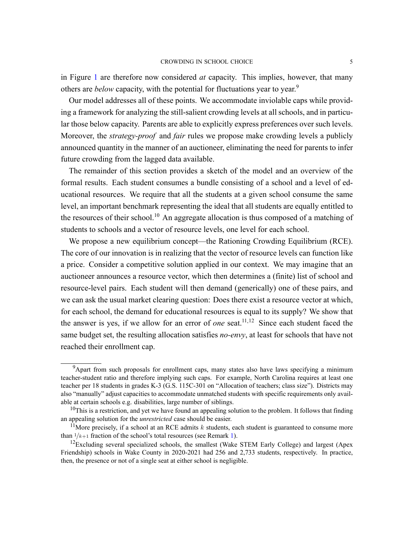in Figure [1](#page-1-0) are therefore now considered *at* capacity. This implies, however, that many others are *below* capacity, with the potential for fluctuations year to year.<sup>9</sup>

Our model addresses all of these points. We accommodate inviolable caps while providing a framework for analyzing the still-salient crowding levels at all schools, and in particular those below capacity. Parents are able to explicitly express preferences over such levels. Moreover, the *strategy-proof* and *fair* rules we propose make crowding levels a publicly announced quantity in the manner of an auctioneer, eliminating the need for parents to infer future crowding from the lagged data available.

The remainder of this section provides a sketch of the model and an overview of the formal results. Each student consumes a bundle consisting of a school and a level of educational resources. We require that all the students at a given school consume the same level, an important benchmark representing the ideal that all students are equally entitled to the resources of their school.<sup>10</sup> An aggregate allocation is thus composed of a matching of students to schools and a vector of resource levels, one level for each school.

We propose a new equilibrium concept—the Rationing Crowding Equilibrium (RCE). The core of our innovation is in realizing that the vector of resource levels can function like a price. Consider a competitive solution applied in our context. We may imagine that an auctioneer announces a resource vector, which then determines a (finite) list of school and resource-level pairs. Each student will then demand (generically) one of these pairs, and we can ask the usual market clearing question: Does there exist a resource vector at which, for each school, the demand for educational resources is equal to its supply? We show that the answer is yes, if we allow for an error of *one* seat.<sup>11,12</sup> Since each student faced the same budget set, the resulting allocation satisfies *no-envy*, at least for schools that have not reached their enrollment cap.

<sup>&</sup>lt;sup>9</sup>Apart from such proposals for enrollment caps, many states also have laws specifying a minimum teacher-student ratio and therefore implying such caps. For example, North Carolina requires at least one teacher per 18 students in grades K-3 (G.S. 115C-301 on "Allocation of teachers; class size"). Districts may also "manually" adjust capacities to accommodate unmatched students with specific requirements only available at certain schools e.g. disabilities, large number of siblings.

 $10$ This is a restriction, and yet we have found an appealing solution to the problem. It follows that finding an appealing solution for the *unrestricted* case should be easier.

<sup>&</sup>lt;sup>11</sup>More precisely, if a school at an RCE admits  $k$  students, each student is guaranteed to consume more than  $1/k+1$  fraction of the school's total resources (see Remark [1\)](#page-12-0).

 $12$ Excluding several specialized schools, the smallest (Wake STEM Early College) and largest (Apex Friendship) schools in Wake County in 2020-2021 had 256 and 2,733 students, respectively. In practice, then, the presence or not of a single seat at either school is negligible.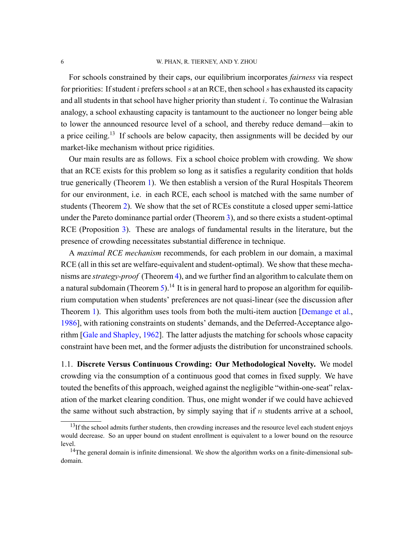#### 6 W. PHAN, R. TIERNEY, AND Y. ZHOU

For schools constrained by their caps, our equilibrium incorporates *fairness* via respect for priorities: If student *i* prefers school *s* at an RCE, then school *s* has exhausted its capacity and all students in that school have higher priority than student *i*. To continue the Walrasian analogy, a school exhausting capacity is tantamount to the auctioneer no longer being able to lower the announced resource level of a school, and thereby reduce demand—akin to a price ceiling.<sup>13</sup> If schools are below capacity, then assignments will be decided by our market-like mechanism without price rigidities.

Our main results are as follows. Fix a school choice problem with crowding. We show that an RCE exists for this problem so long as it satisfies a regularity condition that holds true generically (Theorem [1](#page-16-0)). We then establish a version of the Rural Hospitals Theorem for our environment, i.e. in each RCE, each school is matched with the same number of students (Theorem [2](#page-19-0)). We show that the set of RCEs constitute a closed upper semi-lattice under the Pareto dominance partial order (Theorem [3\)](#page-20-0), and so there exists a student-optimal RCE (Proposition [3](#page-20-1)). These are analogs of fundamental results in the literature, but the presence of crowding necessitates substantial difference in technique.

A *maximal RCE mechanism* recommends, for each problem in our domain, a maximal RCE (all in this set are welfare-equivalent and student-optimal). We show that these mechanisms are *strategy-proof* (Theorem [4\)](#page-22-0), and we further find an algorithm to calculate them on a natural subdomain (Theorem [5](#page-25-0)).<sup>14</sup> It is in general hard to propose an algorithm for equilibrium computation when students' preferences are not quasi-linear (see the discussion after Theorem [1\)](#page-16-0). This algorithm uses tools from both the multi-item auction [\[Demange et al.](#page-45-2), [1986\]](#page-45-2), with rationing constraints on students' demands, and the Deferred-Acceptance algorithm [\[Gale and Shapley,](#page-46-2) [1962](#page-46-2)]. The latter adjusts the matching for schools whose capacity constraint have been met, and the former adjusts the distribution for unconstrained schools.

1.1. **Discrete Versus Continuous Crowding: Our Methodological Novelty.** We model crowding via the consumption of a continuous good that comes in fixed supply. We have touted the benefits of this approach, weighed against the negligible "within-one-seat" relaxation of the market clearing condition. Thus, one might wonder if we could have achieved the same without such abstraction, by simply saying that if *n* students arrive at a school,

 $<sup>13</sup>$ If the school admits further students, then crowding increases and the resource level each student enjoys</sup> would decrease. So an upper bound on student enrollment is equivalent to a lower bound on the resource level.

 $14$ The general domain is infinite dimensional. We show the algorithm works on a finite-dimensional subdomain.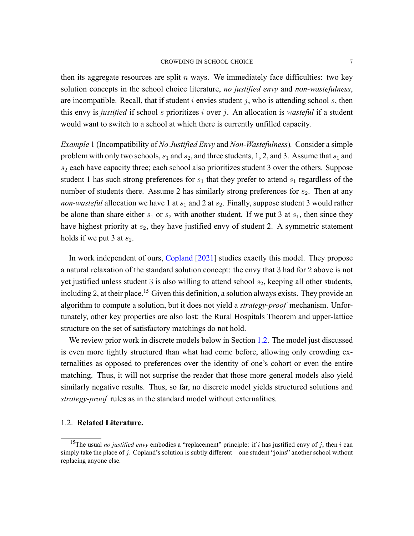#### CROWDING IN SCHOOL CHOICE 7

then its aggregate resources are split  $n$  ways. We immediately face difficulties: two key solution concepts in the school choice literature, *no justified envy* and *non-wastefulness*, are incompatible. Recall, that if student *i* envies student *j*, who is attending school *s*, then this envy is *justified* if school *s* prioritizes *i* over *j*. An allocation is *wasteful* if a student would want to switch to a school at which there is currently unfilled capacity.

<span id="page-6-0"></span>*Example* 1 (Incompatibility of *No Justified Envy* and *Non-Wastefulness*). Consider a simple problem with only two schools,  $s_1$  and  $s_2$ , and three students, 1, 2, and 3. Assume that  $s_1$  and  $s_2$  each have capacity three; each school also prioritizes student 3 over the others. Suppose student 1 has such strong preferences for  $s_1$  that they prefer to attend  $s_1$  regardless of the number of students there. Assume 2 has similarly strong preferences for  $s_2$ . Then at any *non-wasteful* allocation we have 1 at  $s_1$  and 2 at  $s_2$ . Finally, suppose student 3 would rather be alone than share either  $s_1$  or  $s_2$  with another student. If we put 3 at  $s_1$ , then since they have highest priority at  $s_2$ , they have justified envy of student 2. A symmetric statement holds if we put 3 at  $s_2$ .

In work independent of ours, [Copland](#page-45-3) [[2021\]](#page-45-3) studies exactly this model. They propose a natural relaxation of the standard solution concept: the envy that 3 had for 2 above is not yet justified unless student 3 is also willing to attend school  $s_2$ , keeping all other students, including 2, at their place.<sup>15</sup> Given this definition, a solution always exists. They provide an algorithm to compute a solution, but it does not yield a *strategy-proof* mechanism. Unfortunately, other key properties are also lost: the Rural Hospitals Theorem and upperlattice structure on the set of satisfactory matchings do not hold.

We review prior work in discrete models below in Section [1.2](#page-7-0). The model just discussed is even more tightly structured than what had come before, allowing only crowding externalities as opposed to preferences over the identity of one's cohort or even the entire matching. Thus, it will not surprise the reader that those more general models also yield similarly negative results. Thus, so far, no discrete model yields structured solutions and strategy-proof rules as in the standard model without externalities.

# 1.2. **Related Literature.**

<sup>&</sup>lt;sup>15</sup>The usual *no justified envy* embodies a "replacement" principle: if *i* has justified envy of *j*, then *i* can simply take the place of *j*. Copland's solution is subtly different—one student "joins" another school without replacing anyone else.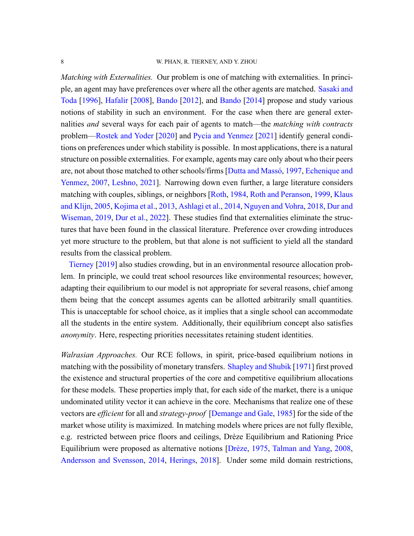<span id="page-7-0"></span>*Matching with Externalities.* Our problem is one of matching with externalities. In principle, an agent may have preferences over where all the other agents are matched. [Sasaki and](#page-47-0) [Toda](#page-47-0) [\[1996](#page-47-0)], [Hafalir](#page-46-3) [[2008\]](#page-46-3), [Bando](#page-45-4) [\[2012](#page-45-4)], and [Bando](#page-45-5) [[2014\]](#page-45-5) propose and study various notions of stability in such an environment. For the case when there are general externalities *and* several ways for each pair of agents to match—the *matching with contracts* problem—[Rostek and Yoder](#page-47-1) [\[2020](#page-47-1)] and [Pycia and Yenmez](#page-47-2) [[2021\]](#page-47-2) identify general conditions on preferences under which stability is possible. In most applications, there is a natural structure on possible externalities. For example, agents may care only about who their peers are, not about those matched to other schools/firms [\[Dutta and Massó](#page-45-6), [1997](#page-45-6), [Echenique and](#page-45-7) [Yenmez,](#page-45-7) [2007](#page-45-7), [Leshno,](#page-46-4) [2021](#page-46-4)]. Narrowing down even further, a large literature considers matching with couples, siblings, or neighbors[[Roth,](#page-47-3) [1984](#page-47-3), [Roth and Peranson](#page-47-4), [1999,](#page-47-4) [Klaus](#page-46-5) [and Klijn](#page-46-5), [2005](#page-46-5), [Kojima et al.,](#page-46-6) [2013,](#page-46-6) [Ashlagi et al.](#page-44-1), [2014,](#page-44-1) [Nguyen and Vohra](#page-46-7), [2018](#page-46-7), [Dur and](#page-45-8) [Wiseman,](#page-45-8) [2019,](#page-45-8) [Dur et al.,](#page-45-9) [2022\]](#page-45-9). These studies find that externalities eliminate the structures that have been found in the classical literature. Preference over crowding introduces yet more structure to the problem, but that alone is not sufficient to yield all the standard results from the classical problem.

[Tierney](#page-47-5) [[2019\]](#page-47-5) also studies crowding, but in an environmental resource allocation problem. In principle, we could treat school resources like environmental resources; however, adapting their equilibrium to our model is not appropriate for several reasons, chief among them being that the concept assumes agents can be allotted arbitrarily small quantities. This is unacceptable for school choice, as it implies that a single school can accommodate all the students in the entire system. Additionally, their equilibrium concept also satisfies *anonymity*. Here, respecting priorities necessitates retaining student identities.

<span id="page-7-1"></span>*Walrasian Approaches.* Our RCE follows, in spirit, price-based equilibrium notions in matching with the possibility of monetary transfers. [Shapley and Shubik](#page-47-6) [\[1971](#page-47-6)] first proved the existence and structural properties of the core and competitive equilibrium allocations for these models. These properties imply that, for each side of the market, there is a unique undominated utility vector it can achieve in the core. Mechanisms that realize one of these vectors are *efficient* for all and *strategy-proof* [[Demange and Gale,](#page-45-10) [1985](#page-45-10)] for the side of the market whose utility is maximized. In matching models where prices are not fully flexible, e.g. restricted between price floors and ceilings, Drèze Equilibrium and Rationing Price Equilibrium were proposed as alternative notions [\[Drèze,](#page-45-11) [1975](#page-45-11), [Talman and Yang](#page-47-7), [2008](#page-47-7), [Andersson and Svensson](#page-44-2), [2014,](#page-44-2) [Herings,](#page-46-8) [2018](#page-46-8)]. Under some mild domain restrictions,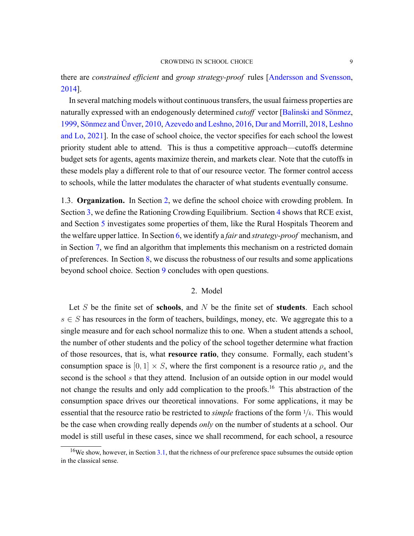thereare *constrained efficient* and *group strategy-proof* rules [[Andersson and Svensson](#page-44-2), [2014\]](#page-44-2).

In several matching models without continuous transfers, the usual fairness properties are naturally expressed with an endogenously determined *cutoff* vector[[Balinski and Sönmez](#page-45-12), [1999,](#page-45-12) [Sönmez and Ünver](#page-47-8), [2010](#page-47-8), [Azevedo and Leshno](#page-44-3), [2016](#page-44-3), [Dur and Morrill](#page-45-13), [2018,](#page-45-13) [Leshno](#page-46-9) [and Lo](#page-46-9), [2021](#page-46-9)]. In the case of school choice, the vector specifies for each school the lowest priority student able to attend. This is thus a competitive approach—cutoffs determine budget sets for agents, agents maximize therein, and markets clear. Note that the cutoffs in these models play a different role to that of our resource vector. The former control access to schools, while the latter modulates the character of what students eventually consume.

1.3. **Organization.** In Section [2,](#page-8-0) we define the school choice with crowding problem. In Section [3](#page-10-0), we define the Rationing Crowding Equilibrium. Section [4](#page-15-0) shows that RCE exist, and Section [5](#page-18-0) investigates some properties of them, like the Rural Hospitals Theorem and the welfare upper lattice. In Section [6,](#page-22-1) we identify a *fair* and *strategy-proof* mechanism, and in Section [7](#page-23-0), we find an algorithm that implements this mechanism on a restricted domain of preferences. In Section [8,](#page-25-1) we discuss the robustness of our results and some applications beyond school choice. Section [9](#page-26-0) concludes with open questions.

# 2. Model

<span id="page-8-0"></span>Let *S* be the finite set of **schools**, and *N* be the finite set of **students**. Each school *s ∈ S* has resources in the form of teachers, buildings, money, etc. We aggregate this to a single measure and for each school normalize this to one. When a student attends a school, the number of other students and the policy of the school together determine what fraction of those resources, that is, what **resource ratio**, they consume. Formally, each student's consumption space is  $[0, 1] \times S$ , where the first component is a resource ratio  $\rho_s$  and the second is the school *s* that they attend. Inclusion of an outside option in our model would not change the results and only add complication to the proofs.<sup>16</sup> This abstraction of the consumption space drives our theoretical innovations. For some applications, it may be essential that the resource ratio be restricted to *simple* fractions of the form <sup>1</sup>/*k*. This would be the case when crowding really depends *only* on the number of students at a school. Our model is still useful in these cases, since we shall recommend, for each school, a resource

 $16$ We show, however, in Section [3.1,](#page-12-1) that the richness of our preference space subsumes the outside option in the classical sense.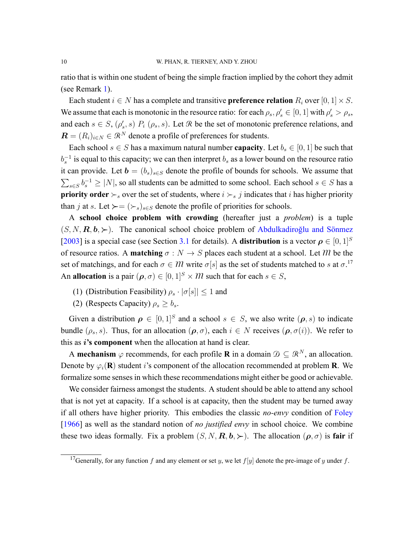ratio that is within one student of being the simple fraction implied by the cohort they admit (see Remark [1](#page-12-0)).

Each student  $i \in N$  has a complete and transitive **preference relation**  $R_i$  over  $[0, 1] \times S$ . We assume that each is monotonic in the resource ratio: for each  $\rho_s$ ,  $\rho'_s \in [0,1]$  with  $\rho'_s > \rho_s$ , and each  $s \in S$ ,  $(\rho'_s, s)$   $P_i$   $(\rho_s, s)$ . Let  $\Re$  be the set of monotonic preference relations, and  $\mathbf{R} = (R_i)_{i \in \mathbb{N}} \in \mathbb{R}^{\mathbb{N}}$  denote a profile of preferences for students.

Each school  $s \in S$  has a maximum natural number **capacity**. Let  $b_s \in [0, 1]$  be such that *b*<sub>*s*</sub><sup>−1</sup> is equal to this capacity; we can then interpret *b*<sub>*s*</sub> as a lower bound on the resource ratio it can provide. Let  $\mathbf{b} = (b_s)_{s \in S}$  denote the profile of bounds for schools. We assume that  $\sum_{s \in S} b_s^{-1} \ge |N|$ , so all students can be admitted to some school. Each school  $s \in S$  has a **priority order**  $\succ$ <sub>s</sub> over the set of students, where  $i \succ$ <sub>s</sub> *j* indicates that *i* has higher priority than *j* at *s*. Let  $\succ = (\succ_s)_{s \in S}$  denote the profile of priorities for schools.

A **school choice problem with crowding** (hereafter just a *problem*) is a tuple  $(S, N, \mathbf{R}, \mathbf{b}, \succ)$ . The canonical school choice problem of [Abdulkadiroğlu and Sönmez](#page-44-0) [[2003\]](#page-44-0) is a special case (see Section [3.1](#page-12-1) for details). A **distribution** is a vector  $\rho \in [0,1]^S$ of resource ratios. A **matching**  $\sigma : N \to S$  places each student at a school. Let M be the set of matchings, and for each  $\sigma \in \mathcal{M}$  write  $\sigma[s]$  as the set of students matched to *s* at  $\sigma$ .<sup>17</sup> An **allocation** is a pair  $(\rho, \sigma) \in [0, 1]^S \times \mathcal{M}$  such that for each  $s \in S$ ,

- (1) (Distribution Feasibility)  $\rho_s \cdot |\sigma(s)| \leq 1$  and
- (2) (Respects Capacity)  $\rho_s \geq b_s$ .

Given a distribution  $\rho \in [0,1]^S$  and a school  $s \in S$ , we also write  $(\rho, s)$  to indicate bundle  $(\rho_s, s)$ . Thus, for an allocation  $(\rho, \sigma)$ , each  $i \in N$  receives  $(\rho, \sigma(i))$ . We refer to this as *i***'s component** when the allocation at hand is clear.

A **mechanism**  $\varphi$  recommends, for each profile **R** in a domain  $\mathcal{D} \subseteq \mathbb{R}^N$ , an allocation. Denote by  $\varphi_i(\mathbf{R})$  student *i*'s component of the allocation recommended at problem **R**. We formalize some senses in which these recommendations might either be good or achievable.

We consider fairness amongst the students. A student should be able to attend any school that is not yet at capacity. If a school is at capacity, then the student may be turned away if all others have higher priority. This embodies the classic *no-envy* condition of [Foley](#page-46-10) [[1966\]](#page-46-10) as well as the standard notion of *no justified envy* in school choice. We combine these two ideas formally. Fix a problem  $(S, N, \mathbf{R}, \mathbf{b}, \succ)$ . The allocation  $(\rho, \sigma)$  is **fair** if

<sup>&</sup>lt;sup>17</sup>Generally, for any function *f* and any element or set *y*, we let  $f[y]$  denote the pre-image of *y* under *f*.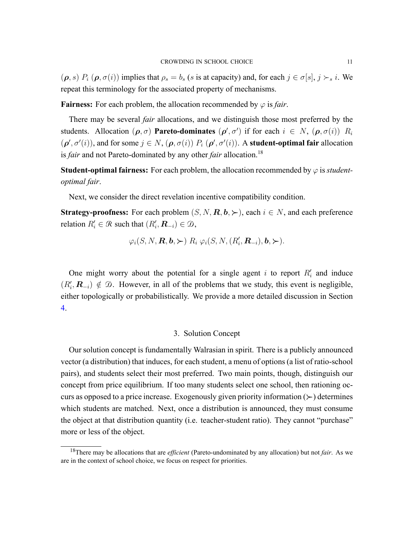$(\rho, s)$   $P_i$   $(\rho, \sigma(i))$  implies that  $\rho_s = b_s$  (s is at capacity) and, for each  $j \in \sigma[s], j \succ_s i$ . We repeat this terminology for the associated property of mechanisms.

**Fairness:** For each problem, the allocation recommended by  $\varphi$  is *fair*.

There may be several *fair* allocations, and we distinguish those most preferred by the students. Allocation  $(\rho, \sigma)$  **Pareto-dominates**  $(\rho', \sigma')$  if for each  $i \in N$ ,  $(\rho, \sigma(i))$   $R_i$  $(\rho', \sigma'(i))$ , and for some  $j \in N$ ,  $(\rho, \sigma(i))$   $P_i$   $(\rho', \sigma'(i))$ . A **student-optimal fair** allocation is *fair* and not Pareto-dominated by any other *fair* allocation.<sup>18</sup>

**Student-optimal fairness:** For each problem, the allocation recommended by  $\varphi$  is *studentoptimal fair*.

Next, we consider the direct revelation incentive compatibility condition.

**Strategy-proofness:** For each problem  $(S, N, \mathbf{R}, \mathbf{b}, \succ)$ , each  $i \in N$ , and each preference relation  $R'_i \in \mathcal{R}$  such that  $(R'_i, \mathbf{R}_{-i}) \in \mathcal{D}$ ,

$$
\varphi_i(S, N, \mathbf{R}, \mathbf{b}, \succ) \, R_i \, \varphi_i(S, N, (R'_i, \mathbf{R}_{-i}), \mathbf{b}, \succ).
$$

One might worry about the potential for a single agent  $i$  to report  $R'_i$  and induce  $(R'_{i}, \mathbf{R}_{-i}) \notin \mathcal{D}$ . However, in all of the problems that we study, this event is negligible, either topologically or probabilistically. We provide a more detailed discussion in Section [4.](#page-15-0)

## 3. Solution Concept

<span id="page-10-0"></span>Our solution concept is fundamentally Walrasian in spirit. There is a publicly announced vector (a distribution) that induces, for each student, a menu of options (a list of ratio-school pairs), and students select their most preferred. Two main points, though, distinguish our concept from price equilibrium. If too many students select one school, then rationing occurs as opposed to a price increase. Exogenously given priority information (*≻*) determines which students are matched. Next, once a distribution is announced, they must consume the object at that distribution quantity (i.e. teacher-student ratio). They cannot "purchase" more or less of the object.

<sup>&</sup>lt;sup>18</sup>There may be allocations that are *efficient* (Pareto-undominated by any allocation) but not *fair*. As we are in the context of school choice, we focus on respect for priorities.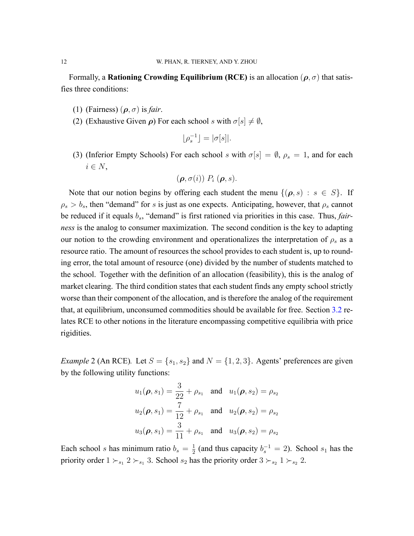Formally, a **Rationing Crowding Equilibrium (RCE)** is an allocation  $(\rho, \sigma)$  that satisfies three conditions:

- (1) (Fairness)  $(\rho, \sigma)$  is *fair*.
- (2) (Exhaustive Given  $\rho$ ) For each school *s* with  $\sigma[s] \neq \emptyset$ ,

$$
\lfloor \rho_s^{-1} \rfloor = |\sigma[s]|.
$$

(3) (Inferior Empty Schools) For each school *s* with  $\sigma[s] = \emptyset$ ,  $\rho_s = 1$ , and for each *i ∈ N*,

$$
(\boldsymbol{\rho}, \sigma(i)) P_i (\boldsymbol{\rho}, s).
$$

Note that our notion begins by offering each student the menu  $\{(\rho, s) : s \in S\}$ . If  $\rho_s > b_s$ , then "demand" for *s* is just as one expects. Anticipating, however, that  $\rho_s$  cannot be reduced if it equals *bs*, "demand" is first rationed via priorities in this case. Thus, *fairness* is the analog to consumer maximization. The second condition is the key to adapting our notion to the crowding environment and operationalizes the interpretation of  $\rho_s$  as a resource ratio. The amount of resources the school provides to each student is, up to rounding error, the total amount of resource (one) divided by the number of students matched to the school. Together with the definition of an allocation (feasibility), this is the analog of market clearing. The third condition states that each student finds any empty school strictly worse than their component of the allocation, and is therefore the analog of the requirement that, at equilibrium, unconsumed commodities should be available for free. Section [3.2](#page-14-0) relates RCE to other notions in the literature encompassing competitive equilibria with price rigidities.

<span id="page-11-0"></span>*Example* 2 (An RCE). Let  $S = \{s_1, s_2\}$  and  $N = \{1, 2, 3\}$ . Agents' preferences are given by the following utility functions:

$$
u_1(\boldsymbol{\rho}, s_1) = \frac{3}{22} + \rho_{s_1} \text{ and } u_1(\boldsymbol{\rho}, s_2) = \rho_{s_2}
$$
  

$$
u_2(\boldsymbol{\rho}, s_1) = \frac{7}{12} + \rho_{s_1} \text{ and } u_2(\boldsymbol{\rho}, s_2) = \rho_{s_2}
$$
  

$$
u_3(\boldsymbol{\rho}, s_1) = \frac{3}{11} + \rho_{s_1} \text{ and } u_3(\boldsymbol{\rho}, s_2) = \rho_{s_2}
$$

Each school *s* has minimum ratio  $b_s = \frac{1}{2}$  $\frac{1}{2}$  (and thus capacity  $b_s^{-1} = 2$ ). School  $s_1$  has the priority order  $1 \succ_{s_1} 2 \succ_{s_1} 3$ . School  $s_2$  has the priority order  $3 \succ_{s_2} 1 \succ_{s_2} 2$ .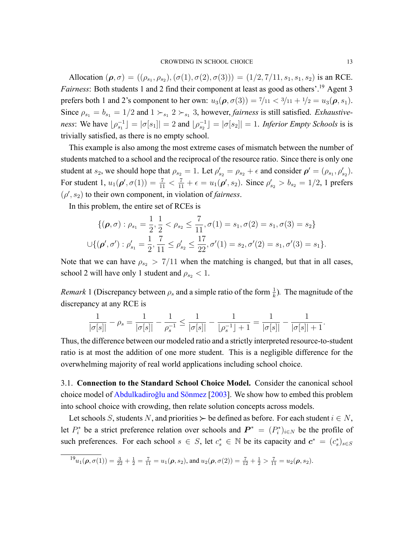Allocation  $(\rho, \sigma) = ((\rho_{s_1}, \rho_{s_2}), (\sigma(1), \sigma(2), \sigma(3))) = (1/2, 7/11, s_1, s_1, s_2)$  is an RCE. *Fairness*: Both students 1 and 2 find their component at least as good as others'.<sup>19</sup> Agent 3 prefers both 1 and 2's component to her own:  $u_3(\rho, \sigma(3)) = \frac{7}{11} < \frac{3}{11} + \frac{1}{2} = u_3(\rho, s_1)$ . Since  $\rho_{s_1} = b_{s_1} = 1/2$  and  $1 \succ_{s_1} 2 \succ_{s_1} 3$ , however, *fairness* is still satisfied. *Exhaustive*ness: We have  $\lfloor \rho_{s_1}^{-1} \rfloor = |\sigma[s_1]| = 2$  and  $\lfloor \rho_{s_2}^{-1} \rfloor = |\sigma[s_2]| = 1$ . Inferior Empty Schools is is trivially satisfied, as there is no empty school.

This example is also among the most extreme cases of mismatch between the number of students matched to a school and the reciprocal of the resource ratio. Since there is only one student at *s*<sub>2</sub>, we should hope that  $\rho_{s_2} = 1$ . Let  $\rho'_{s_2} = \rho_{s_2} + \epsilon$  and consider  $\rho' = (\rho_{s_1}, \rho'_{s_2})$ . For student 1,  $u_1(\rho', \sigma(1)) = \frac{7}{11} < \frac{7}{11} + \epsilon = u_1(\rho', s_2)$ . Since  $\rho'_{s_2} > b_{s_2} = 1/2$ , 1 prefers  $(\rho', s_2)$  to their own component, in violation of *fairness*.

In this problem, the entire set of RCEs is

$$
\{(\boldsymbol{\rho}, \sigma) : \rho_{s_1} = \frac{1}{2}, \frac{1}{2} < \rho_{s_2} \le \frac{7}{11}, \sigma(1) = s_1, \sigma(2) = s_1, \sigma(3) = s_2\}
$$
  

$$
\cup \{(\boldsymbol{\rho}', \sigma') : \rho'_{s_1} = \frac{1}{2}, \frac{7}{11} \le \rho'_{s_2} \le \frac{17}{22}, \sigma'(1) = s_2, \sigma'(2) = s_1, \sigma'(3) = s_1\}.
$$

Note that we can have  $\rho_{s_2}$  > 7/11 when the matching is changed, but that in all cases, school 2 will have only 1 student and  $\rho_{s_2}$  < 1.

<span id="page-12-0"></span>*Remark* 1 (Discrepancy between  $\rho_s$  and a simple ratio of the form  $\frac{1}{k}$ ). The magnitude of the discrepancy at any RCE is

$$
\frac{1}{|\sigma[s]|}-\rho_s=\frac{1}{|\sigma[s]|}-\frac{1}{\rho_s^{-1}}\leq \frac{1}{|\sigma[s]|}-\frac{1}{\lfloor \rho_s^{-1} \rfloor+1}=\frac{1}{|\sigma[s]|}-\frac{1}{|\sigma[s]|+1}.
$$

Thus, the difference between our modeled ratio and a strictly interpreted resource-to-student ratio is at most the addition of one more student. This is a negligible difference for the overwhelming majority of real world applications including school choice.

<span id="page-12-1"></span>3.1. **Connection to the Standard School Choice Model.** Consider the canonical school choice model of [Abdulkadiroğlu and Sönmez](#page-44-0) [\[2003\]](#page-44-0). We show how to embed this problem into school choice with crowding, then relate solution concepts across models.

Let schools *S*, students *N*, and priorities  $\succ$  be defined as before. For each student  $i \in N$ , let  $P_i^*$  be a strict preference relation over schools and  $P^* = (P_i^*)_{i \in N}$  be the profile of such preferences. For each school  $s \in S$ , let  $c_s^* \in \mathbb{N}$  be its capacity and  $c^* = (c_s^*)_{s \in S}$ 

$$
{}^{19}u_1(\boldsymbol{\rho},\sigma(1)) = \frac{3}{22} + \frac{1}{2} = \frac{7}{11} = u_1(\boldsymbol{\rho},s_2), \text{ and } u_2(\boldsymbol{\rho},\sigma(2)) = \frac{7}{12} + \frac{1}{2} > \frac{7}{11} = u_2(\boldsymbol{\rho},s_2).
$$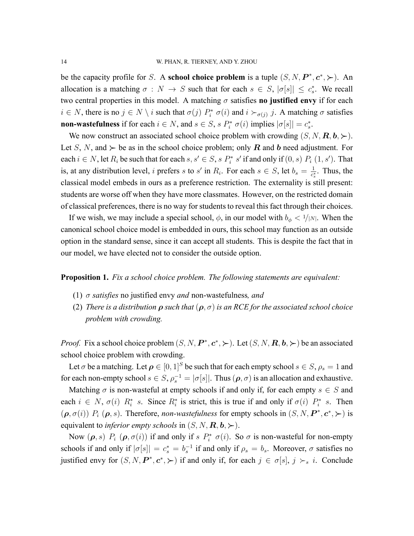be the capacity profile for *S*. A **school choice problem** is a tuple  $(S, N, P^*, c^*, \succ)$ . An allocation is a matching  $\sigma : N \to S$  such that for each  $s \in S$ ,  $|\sigma[s]| \leq c_s^*$ . We recall two central properties in this model. A matching  $\sigma$  satisfies **no justified envy** if for each  $i \in N$ , there is no  $j \in N \setminus i$  such that  $\sigma(j)$   $P_i^*$   $\sigma(i)$  and  $i \succ_{\sigma(j)} j$ . A matching  $\sigma$  satisfies **non-wastefulness** if for each  $i \in N$ , and  $s \in S$ ,  $s P_i^* \sigma(i)$  implies  $|\sigma[s]| = c_s^*$ .

We now construct an associated school choice problem with crowding  $(S, N, \mathbf{R}, \mathbf{b}, \succ)$ . Let *S*, *N*, and  $\succ$  be as in the school choice problem; only *R* and *b* need adjustment. For each  $i \in N$ , let  $R_i$  be such that for each  $s, s' \in S$ ,  $s P_i^* s'$  if and only if  $(0, s) P_i (1, s')$ . That is, at any distribution level, *i* prefers *s* to *s'* in  $R_i$ . For each  $s \in S$ , let  $b_s = \frac{1}{s^s}$  $\frac{1}{c_s^*}$ . Thus, the classical model embeds in ours as a preference restriction. The externality is still present: students are worse off when they have more classmates. However, on the restricted domain of classical preferences, there is no way for students to reveal this fact through their choices.

If we wish, we may include a special school,  $\phi$ , in our model with  $b_{\phi} < 1/|N|$ . When the canonical school choice model is embedded in ours, this school may function as an outside option in the standard sense, since it can accept all students. This is despite the fact that in our model, we have elected not to consider the outside option.

**Proposition 1.** *Fix a school choice problem. The following statements are equivalent:*

- (1)  $\sigma$  *satisfies* no justified envy *and* non-wastefulness, *and*
- (2) *There is a distribution*  $\rho$  *such that*  $(\rho, \sigma)$  *is an RCE for the associated school choice problem with crowding.*

*Proof.* Fix a school choice problem  $(S, N, P^*, c^*, \succ)$ . Let  $(S, N, R, b, \succ)$  be an associated school choice problem with crowding.

Let  $\sigma$  be a matching. Let  $\rho \in [0,1]^S$  be such that for each empty school  $s \in S$ ,  $\rho_s = 1$  and for each non-empty school  $s \in S$ ,  $\rho_s^{-1} = |\sigma[s]|$ . Thus  $(\rho, \sigma)$  is an allocation and exhaustive.

Matching  $\sigma$  is non-wasteful at empty schools if and only if, for each empty  $s \in S$  and each  $i \in N$ ,  $\sigma(i)$   $R_i^*$  *s*. Since  $R_i^*$  is strict, this is true if and only if  $\sigma(i)$   $P_i^*$  *s*. Then  $(\rho, \sigma(i))$   $P_i$   $(\rho, s)$ . Therefore, *non-wastefulness* for empty schools in  $(S, N, P^*, c^*, \succ)$  is equivalent to *inferior empty schools* in  $(S, N, \mathbf{R}, \mathbf{b}, \succ)$ .

Now  $(\rho, s)$   $P_i$   $(\rho, \sigma(i))$  if and only if  $s$   $P_i^*$   $\sigma(i)$ . So  $\sigma$  is non-wasteful for non-empty schools if and only if  $|\sigma[s]| = c_s^* = b_s^{-1}$  if and only if  $\rho_s = b_s$ . Moreover,  $\sigma$  satisfies no justified envy for  $(S, N, P^*, c^*, \succ)$  if and only if, for each  $j \in \sigma[s], j \succ_s i$ . Conclude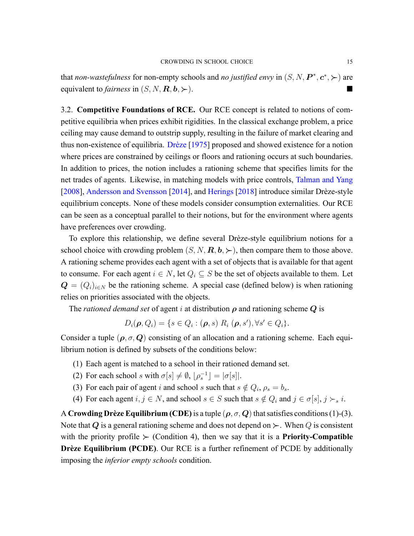that *non-wastefulness* for non-empty schools and *no justified envy* in  $(S, N, P^*, c^*, \succ)$  are equivalent to *fairness* in  $(S, N, \mathbf{R}, \mathbf{b}, \succ)$ .

<span id="page-14-0"></span>3.2. **Competitive Foundations of RCE.** Our RCE concept is related to notions of competitive equilibria when prices exhibit rigidities. In the classical exchange problem, a price ceiling may cause demand to outstrip supply, resulting in the failure of market clearing and thus non-existence of equilibria. [Drèze](#page-45-11) [[1975\]](#page-45-11) proposed and showed existence for a notion where prices are constrained by ceilings or floors and rationing occurs at such boundaries. In addition to prices, the notion includes a rationing scheme that specifies limits for the net trades of agents. Likewise, in matching models with price controls, [Talman and Yang](#page-47-7) [[2008\]](#page-47-7), [Andersson and Svensson](#page-44-2) [[2014\]](#page-44-2), and [Herings](#page-46-8) [\[2018](#page-46-8)] introduce similar Drèze-style equilibrium concepts. None of these models consider consumption externalities. Our RCE can be seen as a conceptual parallel to their notions, but for the environment where agents have preferences over crowding.

To explore this relationship, we define several Drèze-style equilibrium notions for a school choice with crowding problem  $(S, N, \mathbf{R}, \mathbf{b}, \succ)$ , then compare them to those above. A rationing scheme provides each agent with a set of objects that is available for that agent to consume. For each agent  $i \in N$ , let  $Q_i \subseteq S$  be the set of objects available to them. Let  $Q = (Q_i)_{i \in N}$  be the rationing scheme. A special case (defined below) is when rationing relies on priorities associated with the objects.

The *rationed demand set* of agent *i* at distribution  $\rho$  and rationing scheme  $Q$  is

$$
D_i(\boldsymbol{\rho}, Q_i) = \{ s \in Q_i : (\boldsymbol{\rho}, s) \ R_i (\boldsymbol{\rho}, s'), \forall s' \in Q_i \}.
$$

Consider a tuple  $(\rho, \sigma, Q)$  consisting of an allocation and a rationing scheme. Each equilibrium notion is defined by subsets of the conditions below:

- (1) Each agent is matched to a school in their rationed demand set.
- (2) For each school *s* with  $\sigma[s] \neq \emptyset$ ,  $[\rho_s^{-1}] = |\sigma[s]|$ .
- (3) For each pair of agent *i* and school *s* such that  $s \notin Q_i$ ,  $\rho_s = b_s$ .
- (4) For each agent  $i, j \in N$ , and school  $s \in S$  such that  $s \notin Q_i$  and  $j \in \sigma[s], j \succ_s i$ .

A **Crowding Drèze Equilibrium (CDE)** is a tuple  $(\rho, \sigma, Q)$  that satisfies conditions (1)-(3). Note that *Q* is a general rationing scheme and does not depend on  $\succ$ . When *Q* is consistent with the priority profile  $\succ$  (Condition 4), then we say that it is a **Priority-Compatible Drèze Equilibrium (PCDE)**. Our RCE is a further refinement of PCDE by additionally imposing the *inferior empty schools* condition.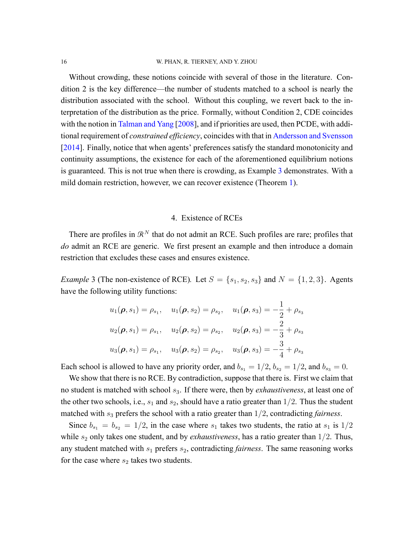#### 16 W. PHAN, R. TIERNEY, AND Y. ZHOU

Without crowding, these notions coincide with several of those in the literature. Condition 2 is the key difference—the number of students matched to a school is nearly the distribution associated with the school. Without this coupling, we revert back to the interpretation of the distribution as the price. Formally, without Condition 2, CDE coincides with the notion in [Talman and Yang](#page-47-7) [\[2008](#page-47-7)], and if priorities are used, then PCDE, with additional requirement of *constrained efficiency*, coincides with that in [Andersson and Svensson](#page-44-2) [[2014\]](#page-44-2). Finally, notice that when agents' preferences satisfy the standard monotonicity and continuity assumptions, the existence for each of the aforementioned equilibrium notions is guaranteed. This is not true when there is crowding, as Example [3](#page-15-1) demonstrates. With a mild domain restriction, however, we can recover existence (Theorem [1\)](#page-16-0).

### 4. Existence of RCEs

<span id="page-15-0"></span>There are profiles in  $\mathbb{R}^N$  that do not admit an RCE. Such profiles are rare; profiles that *do* admit an RCE are generic. We first present an example and then introduce a domain restriction that excludes these cases and ensures existence.

<span id="page-15-1"></span>*Example* 3 (The non-existence of RCE). Let  $S = \{s_1, s_2, s_3\}$  and  $N = \{1, 2, 3\}$ . Agents have the following utility functions:

$$
u_1(\boldsymbol{\rho}, s_1) = \rho_{s_1}, \quad u_1(\boldsymbol{\rho}, s_2) = \rho_{s_2}, \quad u_1(\boldsymbol{\rho}, s_3) = -\frac{1}{2} + \rho_{s_3}
$$

$$
u_2(\boldsymbol{\rho}, s_1) = \rho_{s_1}, \quad u_2(\boldsymbol{\rho}, s_2) = \rho_{s_2}, \quad u_2(\boldsymbol{\rho}, s_3) = -\frac{2}{3} + \rho_{s_3}
$$

$$
u_3(\boldsymbol{\rho}, s_1) = \rho_{s_1}, \quad u_3(\boldsymbol{\rho}, s_2) = \rho_{s_2}, \quad u_3(\boldsymbol{\rho}, s_3) = -\frac{3}{4} + \rho_{s_3}
$$

Each school is allowed to have any priority order, and  $b_{s_1} = 1/2$ ,  $b_{s_2} = 1/2$ , and  $b_{s_3} = 0$ .

We show that there is no RCE. By contradiction, suppose that there is. First we claim that no student is matched with school *s*3. If there were, then by *exhaustiveness*, at least one of the other two schools, i.e.,  $s_1$  and  $s_2$ , should have a ratio greater than  $1/2$ . Thus the student matched with *s*<sup>3</sup> prefers the school with a ratio greater than 1/2, contradicting *fairness*.

Since  $b_{s_1} = b_{s_2} = 1/2$ , in the case where  $s_1$  takes two students, the ratio at  $s_1$  is  $1/2$ while  $s_2$  only takes one student, and by *exhaustiveness*, has a ratio greater than 1/2. Thus, any student matched with *s*<sup>1</sup> prefers *s*2, contradicting *fairness*. The same reasoning works for the case where  $s_2$  takes two students.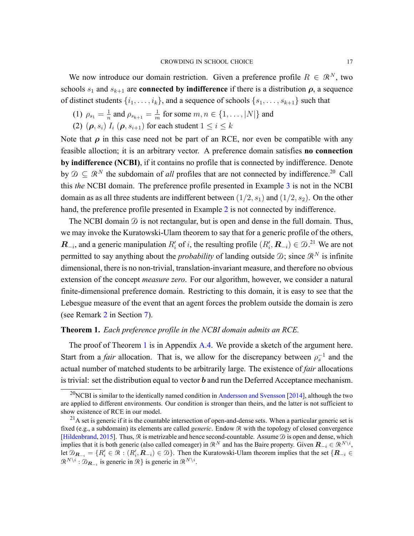We now introduce our domain restriction. Given a preference profile  $R \in \mathbb{R}^N$ , two schools  $s_1$  and  $s_{k+1}$  are **connected by indifference** if there is a distribution  $\rho$ , a sequence of distinct students  $\{i_1, \ldots, i_k\}$ , and a sequence of schools  $\{s_1, \ldots, s_{k+1}\}$  such that

- (1)  $\rho_{s_1} = \frac{1}{n}$  $\frac{1}{n}$  and  $\rho_{s_{k+1}} = \frac{1}{n}$  $\frac{1}{m}$  for some  $m, n \in \{1, \ldots, |N|\}$  and
- (2)  $(\rho, s_i)$   $I_i$   $(\rho, s_{i+1})$  for each student  $1 \leq i \leq k$

Note that  $\rho$  in this case need not be part of an RCE, nor even be compatible with any feasible alloction; it is an arbitrary vector. A preference domain satisfies **no connection by indifference (NCBI)**, if it contains no profile that is connected by indifference. Denote by  $\mathcal{D} \subset \mathbb{R}^N$  the subdomain of *all* profiles that are not connected by indifference.<sup>20</sup> Call this *the* NCBI domain. The preference profile presented in Example [3](#page-15-1) is not in the NCBI domain as as all three students are indifferent between  $(1/2, s_1)$  and  $(1/2, s_2)$ . On the other hand, the preference profile presented in Example [2](#page-11-0) is not connected by indifference.

The NCBI domain  $\mathcal D$  is not rectangular, but is open and dense in the full domain. Thus, we may invoke the Kuratowski-Ulam theorem to say that for a generic profile of the others, *R*<sub>−*i*</sub></sub>, and a generic manipulation *R*<sup>′</sup><sub>*i*</sub> of *i*, the resulting profile  $(R'_{i}, R_{-i}) \in \mathcal{D}$ .<sup>21</sup> We are not permitted to say anything about the *probability* of landing outside  $D$ ; since  $\mathbb{R}^N$  is infinite dimensional, there is no non-trivial, translation-invariant measure, and therefore no obvious extension of the concept *measure zero*. For our algorithm, however, we consider a natural finite-dimensional preference domain. Restricting to this domain, it is easy to see that the Lebesgue measure of the event that an agent forces the problem outside the domain is zero (see Remark [2](#page-23-1) in Section [7](#page-23-0)).

## <span id="page-16-0"></span>**Theorem 1.** *Each preference profile in the NCBI domain admits an RCE.*

The proof of Theorem [1](#page-16-0) is in Appendix [A.4](#page-38-0). We provide a sketch of the argument here. Start from a *fair* allocation. That is, we allow for the discrepancy between  $\rho_s^{-1}$  and the actual number of matched students to be arbitrarily large. The existence of *fair* allocations is trivial: set the distribution equal to vector *b* and run the Deferred Acceptance mechanism.

 $^{20}$ NCBI is similar to the identically named condition in [Andersson and Svensson](#page-44-2) [[2014\]](#page-44-2), although the two are applied to different environments. Our condition is stronger than theirs, and the latter is not sufficient to show existence of RCE in our model.

 $^{21}$ A set is generic if it is the countable intersection of open-and-dense sets. When a particular generic set is fixed (e.g., a subdomain) its elements are called *generic*. Endow R with the topology of closed convergence [\[Hildenbrand](#page-46-11), [2015](#page-46-11)]. Thus,  $\Re$  is metrizable and hence second-countable. Assume  $\Im$  is open and dense, which implies that it is both generic (also called comeager) in  $\mathbb{R}^N$  and has the Baire property. Given  $\mathbf{R}_{-i} \in \mathbb{R}^{N \setminus i}$ , let  $\mathcal{D}_{\mathbf{R}_{-i}} = \{R'_i \in \mathcal{R} : (R'_i, \mathbf{R}_{-i}) \in \mathcal{D}\}\.$  Then the Kuratowski-Ulam theorem implies that the set  $\{\mathbf{R}_{-i} \in \mathcal{D}\}$  $\mathcal{R}^{N\setminus i}: \mathcal{D}_{\mathbf{R}_{-i}}$  is generic in  $\mathcal{R}$ *}* is generic in  $\mathcal{R}^{N\setminus i}$ .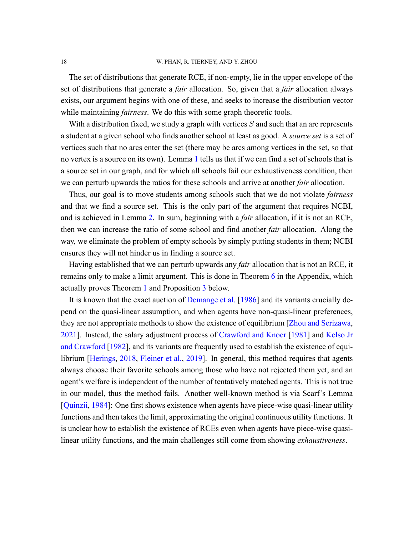The set of distributions that generate RCE, if non-empty, lie in the upper envelope of the set of distributions that generate a *fair* allocation. So, given that a *fair* allocation always exists, our argument begins with one of these, and seeks to increase the distribution vector while maintaining *fairness*. We do this with some graph theoretic tools.

With a distribution fixed, we study a graph with vertices *S* and such that an arc represents a student at a given school who finds another school at least as good. A *source set* is a set of vertices such that no arcs enter the set (there may be arcs among vertices in the set, so that no vertex is a source on its own). Lemma [1](#page-33-0) tells us that if we can find a set of schools that is a source set in our graph, and for which all schools fail our exhaustiveness condition, then we can perturb upwards the ratios for these schools and arrive at another *fair* allocation.

Thus, our goal is to move students among schools such that we do not violate *fairness* and that we find a source set. This is the only part of the argument that requires NCBI, and is achieved in Lemma [2.](#page-35-0) In sum, beginning with a *fair* allocation, if it is not an RCE, then we can increase the ratio of some school and find another *fair* allocation. Along the way, we eliminate the problem of empty schools by simply putting students in them; NCBI ensures they will not hinder us in finding a source set.

Having established that we can perturb upwards any *fair* allocation that is not an RCE, it remains only to make a limit argument. This is done in Theorem [6](#page-38-1) in the Appendix, which actually proves Theorem [1](#page-16-0) and Proposition [3](#page-20-1) below.

It is known that the exact auction of [Demange et al.](#page-45-2) [[1986\]](#page-45-2) and its variants crucially depend on the quasi-linear assumption, and when agents have non-quasi-linear preferences, they are not appropriate methods to show the existence of equilibrium [\[Zhou and Serizawa](#page-47-9), [2021\]](#page-47-9). Instead, the salary adjustment process of [Crawford and Knoer](#page-45-14) [[1981\]](#page-45-14) and [Kelso Jr](#page-46-12) [and Crawford](#page-46-12) [\[1982](#page-46-12)], and its variants are frequently used to establish the existence of equilibrium[[Herings,](#page-46-8) [2018](#page-46-8), [Fleiner et al.,](#page-46-13) [2019](#page-46-13)]. In general, this method requires that agents always choose their favorite schools among those who have not rejected them yet, and an agent's welfare is independent of the number of tentatively matched agents. This is not true in our model, thus the method fails. Another well-known method is via Scarf's Lemma [[Quinzii,](#page-47-10) [1984](#page-47-10)]: One first shows existence when agents have piece-wise quasi-linear utility functions and then takes the limit, approximating the original continuous utility functions. It is unclear how to establish the existence of RCEs even when agents have piece-wise quasilinear utility functions, and the main challenges still come from showing *exhaustiveness*.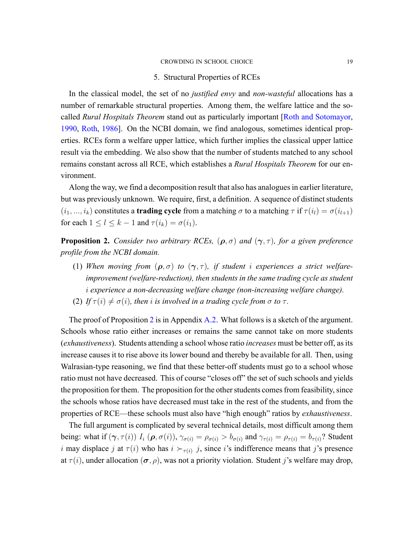#### 5. Structural Properties of RCEs

<span id="page-18-0"></span>In the classical model, the set of no *justified envy* and *nonwasteful* allocations has a number of remarkable structural properties. Among them, the welfare lattice and the socalled *Rural Hospitals Theorem* stand out as particularly important [\[Roth and Sotomayor](#page-47-11), [1990,](#page-47-11) [Roth,](#page-47-12) [1986\]](#page-47-12). On the NCBI domain, we find analogous, sometimes identical properties. RCEs form a welfare upper lattice, which further implies the classical upper lattice result via the embedding. We also show that the number of students matched to any school remains constant across all RCE, which establishes a *Rural Hospitals Theorem* for our environment.

Along the way, we find a decomposition result that also has analogues in earlier literature, but was previously unknown. We require, first, a definition. A sequence of distinct students  $(i_1, ..., i_k)$  constitutes a **trading cycle** from a matching  $\sigma$  to a matching  $\tau$  if  $\tau(i_l) = \sigma(i_{l+1})$ for each  $1 \leq l \leq k-1$  and  $\tau(i_k) = \sigma(i_1)$ .

<span id="page-18-1"></span>**Proposition 2.** *Consider two arbitrary RCEs,*  $(\rho, \sigma)$  *and*  $(\gamma, \tau)$ *, for a given preference profile from the NCBI domain.*

- (1) When moving from  $(\rho, \sigma)$  to  $(\gamma, \tau)$ , if student *i* experiences a strict welfare*improvement (welfare-reduction), then students in the same trading cycle as student i* experience a non-decreasing welfare change (non-increasing welfare change).
- (2) *If*  $\tau(i) \neq \sigma(i)$ *, then i is involved in a trading cycle from*  $\sigma$  *to*  $\tau$ *.*

The proof of Proposition [2](#page-18-1) is in Appendix  $A_2$ . What follows is a sketch of the argument. Schools whose ratio either increases or remains the same cannot take on more students (*exhaustiveness*). Students attending a school whose ratio *increases* must be better off, as its increase causes it to rise above its lower bound and thereby be available for all. Then, using Walrasian-type reasoning, we find that these better-off students must go to a school whose ratio must not have decreased. This of course "closes off" the set of such schools and yields the proposition for them. The proposition for the other students comes from feasibility, since the schools whose ratios have decreased must take in the rest of the students, and from the properties of RCE—these schools must also have "high enough" ratios by *exhaustiveness*.

The full argument is complicated by several technical details, most difficult among them being: what if  $(\gamma, \tau(i))$   $I_i$   $(\rho, \sigma(i))$ ,  $\gamma_{\sigma(i)} = \rho_{\sigma(i)} > b_{\sigma(i)}$  and  $\gamma_{\tau(i)} = \rho_{\tau(i)} = b_{\tau(i)}$ ? Student *i* may displace *j* at  $\tau(i)$  who has  $i \succ_{\tau(i)} j$ , since *i*'s indifference means that *j*'s presence at  $\tau(i)$ , under allocation  $(\sigma, \rho)$ , was not a priority violation. Student *j*'s welfare may drop,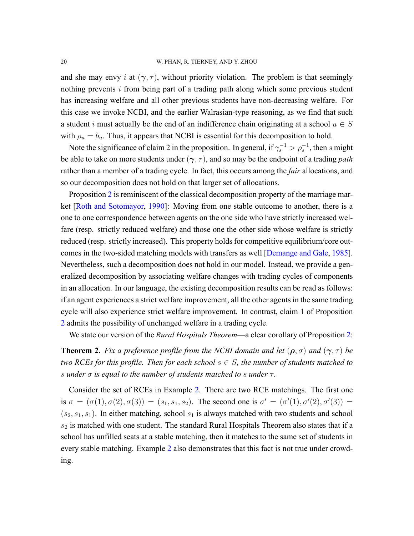#### 20 W. PHAN, R. TIERNEY, AND Y. ZHOU

and she may envy *i* at  $(\gamma, \tau)$ , without priority violation. The problem is that seemingly nothing prevents *i* from being part of a trading path along which some previous student has increasing welfare and all other previous students have non-decreasing welfare. For this case we invoke NCBI, and the earlier Walrasiantype reasoning, as we find that such a student *i* must actually be the end of an indifference chain originating at a school  $u \in S$ with  $\rho_u = b_u$ . Thus, it appears that NCBI is essential for this decomposition to hold.

Note the significance of claim 2 in the proposition. In general, if  $\gamma_s^{-1} > \rho_s^{-1}$ , then *s* might be able to take on more students under (*γ, τ* ), and so may be the endpoint of a trading *path* rather than a member of a trading cycle. In fact, this occurs among the *fair* allocations, and so our decomposition does not hold on that larger set of allocations.

Proposition [2](#page-18-1) is reminiscent of the classical decomposition property of the marriage market [\[Roth and Sotomayor,](#page-47-11) [1990](#page-47-11)]: Moving from one stable outcome to another, there is a one to one correspondence between agents on the one side who have strictly increased welfare (resp. strictly reduced welfare) and those one the other side whose welfare is strictly reduced (resp. strictly increased). This property holds for competitive equilibrium/core out-comes in the two-sided matching models with transfers as well [\[Demange and Gale](#page-45-10), [1985](#page-45-10)]. Nevertheless, such a decomposition does not hold in our model. Instead, we provide a generalized decomposition by associating welfare changes with trading cycles of components in an allocation. In our language, the existing decomposition results can be read as follows: if an agent experiences a strict welfare improvement, all the other agents in the same trading cycle will also experience strict welfare improvement. In contrast, claim 1 of Proposition [2](#page-18-1) admits the possibility of unchanged welfare in a trading cycle.

We state our version of the *Rural Hospitals Theorem*—a clear corollary of Proposition [2:](#page-18-1)

<span id="page-19-0"></span>**Theorem 2.** *Fix a preference profile from the NCBI domain and let*  $(\rho, \sigma)$  *and*  $(\gamma, \tau)$  *be two RCEs for this profile. Then for each school*  $s \in S$ *, the number of students matched to s under σ is equal to the number of students matched to s under τ .*

Consider the set of RCEs in Example [2](#page-11-0). There are two RCE matchings. The first one is  $\sigma = (\sigma(1), \sigma(2), \sigma(3)) = (s_1, s_1, s_2)$ . The second one is  $\sigma' = (\sigma'(1), \sigma'(2), \sigma'(3)) =$  $(s_2, s_1, s_1)$ . In either matching, school  $s_1$  is always matched with two students and school *s*<sup>2</sup> is matched with one student. The standard Rural Hospitals Theorem also states that if a school has unfilled seats at a stable matching, then it matches to the same set of students in every stable matching. Example [2](#page-11-0) also demonstrates that this fact is not true under crowding.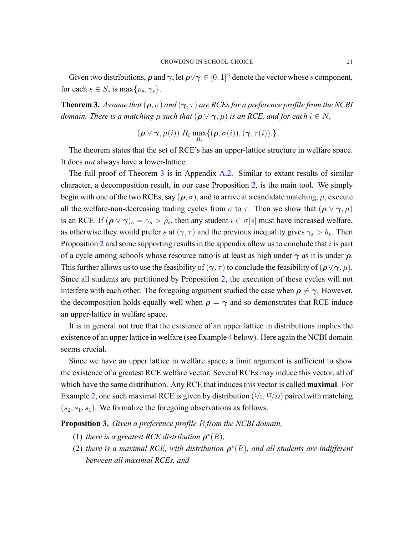Given two distributions,  $\rho$  and  $\gamma$ , let  $\rho \lor \gamma \in [0,1]^S$  denote the vector whose *s* component, for each  $s \in S$ , is max $\{\rho_s, \gamma_s\}$ .

<span id="page-20-0"></span>**Theorem 3.** *Assume that*  $(\rho, \sigma)$  *and*  $(\gamma, \tau)$  *are RCEs for a preference profile from the NCBI domain. There is a matching*  $\mu$  *such that*  $(\rho \lor \gamma, \mu)$  *is an RCE, and for each*  $i \in N$ *,* 

$$
(\boldsymbol{\rho} \vee \boldsymbol{\gamma}, \mu(i)) \mathop{\mathit{R}}\nolimits_{i} \max_{R_{i}} \{(\boldsymbol{\rho}, \sigma(i)), (\boldsymbol{\gamma}, \tau(i)).\}
$$

The theorem states that the set of RCE's has an upper-lattice structure in welfare space. It does *not* always have a lower-lattice.

The full proof of Theorem [3](#page-20-0) is in Appendix [A.2](#page-27-0). Similar to extant results of similar character, a decomposition result, in our case Proposition [2](#page-18-1), is the main tool. We simply begin with one of the two RCEs, say  $(\rho, \sigma)$ , and to arrive at a candidate matching,  $\mu$ , execute all the welfare-non-decreasing trading cycles from  $\sigma$  to  $\tau$ . Then we show that ( $\rho \vee \gamma, \mu$ ) is an RCE. If  $(\rho \lor \gamma)_s = \gamma_s > \rho_s$ , then any student  $i \in \sigma[s]$  must have increased welfare, as otherwise they would prefer *s* at  $(\gamma, \tau)$  and the previous inequality gives  $\gamma_s > b_s$ . Then Proposition [2](#page-18-1) and some supporting results in the appendix allow us to conclude that *i* is part of a cycle among schools whose resource ratio is at least as high under *γ* as it is under *ρ*. This further allows us to use the feasibility of  $(\gamma, \tau)$  to conclude the feasibility of  $(\rho \lor \gamma, \mu)$ . Since all students are partitioned by Proposition [2](#page-18-1), the execution of these cycles will not interfere with each other. The foregoing argument studied the case when  $\rho \neq \gamma$ . However, the decomposition holds equally well when  $\rho = \gamma$  and so demonstrates that RCE induce an upperlattice in welfare space.

It is in general not true that the existence of an upper lattice in distributions implies the existence of an upper lattice in welfare (see Example [4](#page-21-0) below). Here again the NCBI domain seems crucial.

Since we have an upper lattice in welfare space, a limit argument is sufficient to show the existence of a greatest RCE welfare vector. Several RCEs may induce this vector, all of which have the same distribution. Any RCE that induces this vector is called **maximal**. For Example [2,](#page-11-0) one such maximal RCE is given by distribution ( $\frac{1}{2}$ ,  $\frac{17}{22}$ ) paired with matching  $(s_2, s_1, s_1)$ . We formalize the foregoing observations as follows.

<span id="page-20-1"></span>**Proposition 3.** *Given a preference profile R from the NCBI domain,*

- (1) *there is a greatest RCE distribution*  $\rho^*(R)$ *,*
- (2) there is a maximal RCE, with distribution  $\rho^*(R)$ , and all students are indifferent *between all maximal RCEs, and*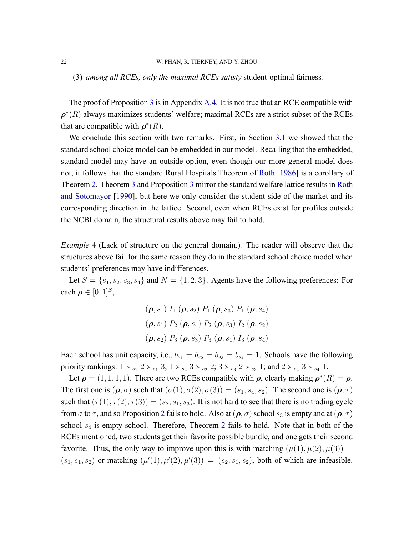(3) *among all RCEs, only the maximal RCEs satisfy* student-optimal fairness.

The proof of Proposition  $\overline{3}$  $\overline{3}$  $\overline{3}$  is in Appendix [A.4](#page-38-0). It is not true that an RCE compatible with  $\rho^*(R)$  always maximizes students' welfare; maximal RCEs are a strict subset of the RCEs that are compatible with  $\rho^*(R)$ .

We conclude this section with two remarks. First, in Section [3.1](#page-12-1) we showed that the standard school choice model can be embedded in our model. Recalling that the embedded, standard model may have an outside option, even though our more general model does not, it follows that the standard Rural Hospitals Theorem of [Roth](#page-47-12) [[1986\]](#page-47-12) is a corollary of Theorem [2.](#page-19-0) Theorem [3](#page-20-0) and Proposition [3](#page-20-1) mirror the standard welfare lattice results in [Roth](#page-47-11) [and Sotomayor](#page-47-11) [[1990\]](#page-47-11), but here we only consider the student side of the market and its corresponding direction in the lattice. Second, even when RCEs exist for profiles outside the NCBI domain, the structural results above may fail to hold.

<span id="page-21-0"></span>*Example* 4 (Lack of structure on the general domain.)*.* The reader will observe that the structures above fail for the same reason they do in the standard school choice model when students' preferences may have indifferences.

Let  $S = \{s_1, s_2, s_3, s_4\}$  and  $N = \{1, 2, 3\}$ . Agents have the following preferences: For each  $\rho \in [0, 1]^S$ ,

$$
(\boldsymbol{\rho}, s_1) I_1 (\boldsymbol{\rho}, s_2) P_1 (\boldsymbol{\rho}, s_3) P_1 (\boldsymbol{\rho}, s_4)
$$
  

$$
(\boldsymbol{\rho}, s_1) P_2 (\boldsymbol{\rho}, s_4) P_2 (\boldsymbol{\rho}, s_3) I_2 (\boldsymbol{\rho}, s_2)
$$
  

$$
(\boldsymbol{\rho}, s_2) P_3 (\boldsymbol{\rho}, s_3) P_3 (\boldsymbol{\rho}, s_1) I_3 (\boldsymbol{\rho}, s_4)
$$

Each school has unit capacity, i.e.,  $b_{s_1} = b_{s_2} = b_{s_3} = b_{s_4} = 1$ . Schools have the following priority rankings:  $1 \succ_{s_1} 2 \succ_{s_1} 3$ ;  $1 \succ_{s_2} 3 \succ_{s_2} 2$ ;  $3 \succ_{s_3} 2 \succ_{s_3} 1$ ; and  $2 \succ_{s_4} 3 \succ_{s_4} 1$ .

Let  $\rho = (1, 1, 1, 1)$ . There are two RCEs compatible with  $\rho$ , clearly making  $\rho^*(R) = \rho$ . The first one is  $(\rho, \sigma)$  such that  $(\sigma(1), \sigma(2), \sigma(3)) = (s_1, s_4, s_2)$ . The second one is  $(\rho, \tau)$ such that  $(\tau(1), \tau(2), \tau(3)) = (s_2, s_1, s_3)$ . It is not hard to see that there is no trading cycle from  $\sigma$  to  $\tau$ , and so Proposition [2](#page-18-1) fails to hold. Also at ( $\rho$ ,  $\sigma$ ) school  $s_3$  is empty and at ( $\rho$ ,  $\tau$ ) school *s*<sup>4</sup> is empty school. Therefore, Theorem [2](#page-19-0) fails to hold. Note that in both of the RCEs mentioned, two students get their favorite possible bundle, and one gets their second favorite. Thus, the only way to improve upon this is with matching  $(\mu(1), \mu(2), \mu(3)) =$  $(s_1, s_1, s_2)$  or matching  $(\mu'(1), \mu'(2), \mu'(3)) = (s_2, s_1, s_2)$ , both of which are infeasible.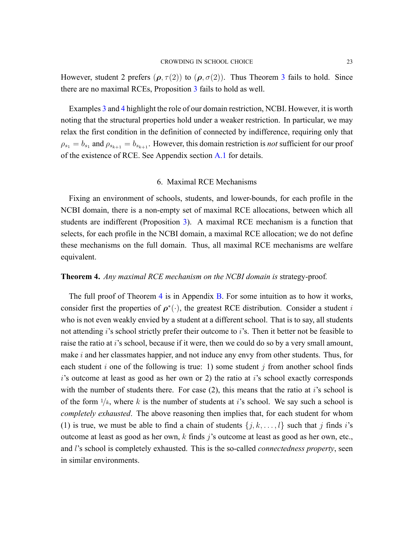However, student 2 prefers  $(\rho, \tau(2))$  to  $(\rho, \sigma(2))$ . Thus Theorem [3](#page-20-0) fails to hold. Since there are no maximal RCEs, Proposition [3](#page-20-1) fails to hold as well.

Examples [3](#page-15-1) and [4](#page-21-0) highlight the role of our domain restriction, NCBI. However, it is worth noting that the structural properties hold under a weaker restriction. In particular, we may relax the first condition in the definition of connected by indifference, requiring only that  $\rho_{s_1} = b_{s_1}$  and  $\rho_{s_{k+1}} = b_{s_{k+1}}$ . However, this domain restriction is *not* sufficient for our proof of the existence of RCE. See Appendix section [A.1](#page-27-1) for details.

## 6. Maximal RCE Mechanisms

<span id="page-22-1"></span>Fixing an environment of schools, students, and lower-bounds, for each profile in the NCBI domain, there is a non-empty set of maximal RCE allocations, between which all students are indifferent (Proposition [3\)](#page-20-1). A maximal RCE mechanism is a function that selects, for each profile in the NCBI domain, a maximal RCE allocation; we do not define these mechanisms on the full domain. Thus, all maximal RCE mechanisms are welfare equivalent.

## <span id="page-22-0"></span>**Theorem 4.** *Any maximal RCE mechanism on the NCBI domain is* strategyproof*.*

The full proof of Theorem [4](#page-22-0) is in Appendix [B](#page-38-2). For some intuition as to how it works, consider first the properties of  $\rho^*(\cdot)$ , the greatest RCE distribution. Consider a student *i* who is not even weakly envied by a student at a different school. That is to say, all students not attending *i*'s school strictly prefer their outcome to *i*'s. Then it better not be feasible to raise the ratio at *i*'s school, because if it were, then we could do so by a very small amount, make *i* and her classmates happier, and not induce any envy from other students. Thus, for each student *i* one of the following is true: 1) some student *j* from another school finds *i*'s outcome at least as good as her own or 2) the ratio at *i*'s school exactly corresponds with the number of students there. For case (2), this means that the ratio at *i*'s school is of the form  $1/k$ , where k is the number of students at *i*'s school. We say such a school is *completely exhausted*. The above reasoning then implies that, for each student for whom (1) is true, we must be able to find a chain of students  $\{j, k, \ldots, l\}$  such that *j* finds *i*'s outcome at least as good as her own, *k* finds *j*'s outcome at least as good as her own, etc., and *l*'s school is completely exhausted. This is the so-called *connectedness property*, seen in similar environments.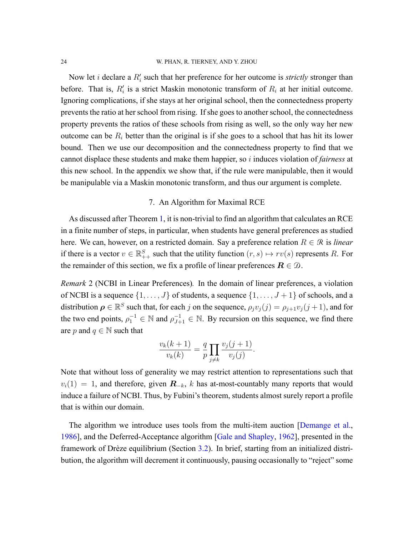#### 24 W. PHAN, R. TIERNEY, AND Y. ZHOU

Now let *i* declare a  $R'_i$  such that her preference for her outcome is *strictly* stronger than before. That is,  $R'_i$  is a strict Maskin monotonic transform of  $R_i$  at her initial outcome. Ignoring complications, if she stays at her original school, then the connectedness property prevents the ratio at her school from rising. If she goes to another school, the connectedness property prevents the ratios of these schools from rising as well, so the only way her new outcome can be  $R_i$  better than the original is if she goes to a school that has hit its lower bound. Then we use our decomposition and the connectedness property to find that we cannot displace these students and make them happier, so *i* induces violation of *fairness* at this new school. In the appendix we show that, if the rule were manipulable, then it would be manipulable via a Maskin monotonic transform, and thus our argument is complete.

## 7. An Algorithm for Maximal RCE

<span id="page-23-0"></span>As discussed after Theorem [1,](#page-16-0) it is non-trivial to find an algorithm that calculates an RCE in a finite number of steps, in particular, when students have general preferences as studied here. We can, however, on a restricted domain. Say a preference relation  $R \in \mathcal{R}$  is *linear* if there is a vector  $v \in \mathbb{R}_{++}^S$  such that the utility function  $(r, s) \mapsto rv(s)$  represents R. For the remainder of this section, we fix a profile of linear preferences  $\mathbf{R} \in \mathcal{D}$ .

<span id="page-23-1"></span>*Remark* 2 (NCBI in Linear Preferences)*.* In the domain of linear preferences, a violation of NCBI is a sequence  $\{1, \ldots, J\}$  of students, a sequence  $\{1, \ldots, J+1\}$  of schools, and a distribution  $\rho \in \mathbb{R}^S$  such that, for each *j* on the sequence,  $\rho_j v_j(j) = \rho_{j+1} v_j(j+1)$ , and for the two end points,  $\rho_1^{-1} \in \mathbb{N}$  and  $\rho_{J+1}^{-1} \in \mathbb{N}$ . By recursion on this sequence, we find there are *p* and  $q \in \mathbb{N}$  such that

$$
\frac{v_k(k+1)}{v_k(k)} = \frac{q}{p} \prod_{j \neq k} \frac{v_j(j+1)}{v_j(j)}.
$$

Note that without loss of generality we may restrict attention to representations such that  $v_i(1) = 1$ , and therefore, given  $\mathbf{R}_{-k}$ , *k* has at-most-countably many reports that would induce a failure of NCBI. Thus, by Fubini's theorem, students almost surely report a profile that is within our domain.

Thealgorithm we introduce uses tools from the multi-item auction [[Demange et al.](#page-45-2), [1986\]](#page-45-2), and the Deferred-Acceptance algorithm [\[Gale and Shapley,](#page-46-2) [1962\]](#page-46-2), presented in the framework of Drèze equilibrium (Section [3.2\)](#page-14-0). In brief, starting from an initialized distribution, the algorithm will decrement it continuously, pausing occasionally to "reject" some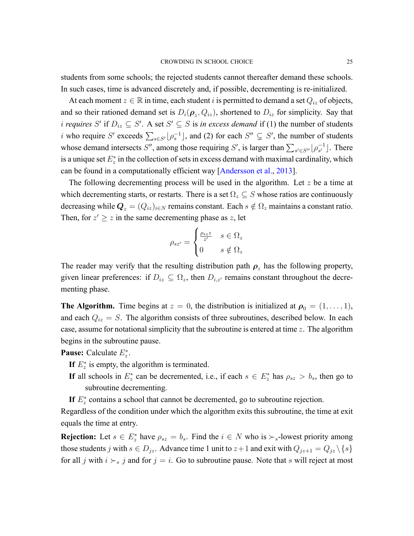students from some schools; the rejected students cannot thereafter demand these schools. In such cases, time is advanced discretely and, if possible, decrementing is re-initialized.

At each moment  $z \in \mathbb{R}$  in time, each student *i* is permitted to demand a set  $Q_{iz}$  of objects, and so their rationed demand set is  $D_i(\boldsymbol{\rho}_z, Q_{iz})$ , shortened to  $D_{iz}$  for simplicity. Say that *i* requires *S'* if  $D_{iz} \subseteq S'$ . A set  $S' \subseteq S$  is *in excess demand* if (1) the number of students *i* who require *S'* exceeds  $\sum_{s \in S'} \lfloor \rho_s^{-1} \rfloor$ , and (2) for each  $S'' \subsetneq S'$ , the number of students whose demand intersects *S''*, among those requiring *S'*, is larger than  $\sum_{s' \in S''} \lfloor \rho_{s'}^{-1} \rfloor$ . There is a unique set  $E_z^*$  in the collection of sets in excess demand with maximal cardinality, which can be found in a computationally efficient way [\[Andersson et al.,](#page-44-4) [2013\]](#page-44-4).

The following decrementing process will be used in the algorithm. Let *z* be a time at which decrementing starts, or restarts. There is a set  $\Omega_z \subseteq S$  whose ratios are continuously decreasing while  $Q_z = (Q_{iz})_{i \in N}$  remains constant. Each  $s \notin \Omega_z$  maintains a constant ratio. Then, for  $z' \geq z$  in the same decrementing phase as  $z$ , let

$$
\rho_{sz'} = \begin{cases} \frac{\rho_{sz}z}{z'} & s \in \Omega_z \\ 0 & s \notin \Omega_z \end{cases}
$$

The reader may verify that the resulting distribution path  $\rho_z$  has the following property, given linear preferences: if  $D_{iz} \subseteq \Omega_z$ , then  $D_{i,z'}$  remains constant throughout the decrementing phase.

**The Algorithm.** Time begins at  $z = 0$ , the distribution is initialized at  $\rho_0 = (1, \ldots, 1)$ , and each  $Q_{iz} = S$ . The algorithm consists of three subroutines, described below. In each case, assume for notational simplicity that the subroutine is entered at time *z*. The algorithm begins in the subroutine pause.

**Pause:** Calculate *E ∗ z* .

- If  $E_z^*$  is empty, the algorithm is terminated.
- **If** all schools in  $E_z^*$  can be decremented, i.e., if each  $s \in E_z^*$  has  $\rho_{sz} > b_s$ , then go to subroutine decrementing.
- If  $E_z^*$  contains a school that cannot be decremented, go to subroutine rejection.

Regardless of the condition under which the algorithm exits this subroutine, the time at exit equals the time at entry.

**Rejection:** Let  $s \in E_z^*$  have  $\rho_{sz} = b_s$ . Find the  $i \in N$  who is  $\succ_s$ -lowest priority among those students *j* with  $s \in D_{jz}$ . Advance time 1 unit to  $z+1$  and exit with  $Q_{jz+1} = Q_{jz} \setminus \{s\}$ for all *j* with  $i \succ_s j$  and for  $j = i$ . Go to subroutine pause. Note that *s* will reject at most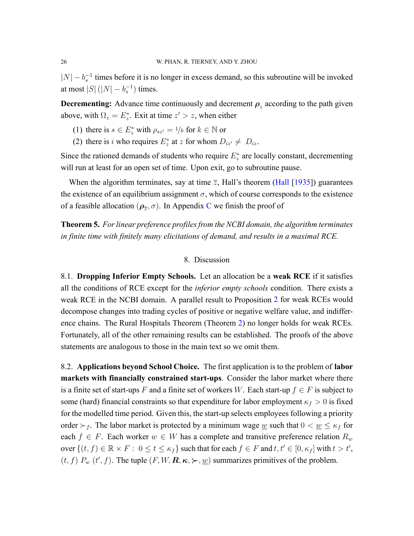*|N*| − *b*<sub>s</sub><sup>−1</sup> times before it is no longer in excess demand, so this subroutine will be invoked at most  $|S|$  ( $|N| - b_s^{-1}$ ) times.

**Decrementing:** Advance time continuously and decrement  $\rho_z$  according to the path given above, with  $\Omega_z = E_z^*$ . Exit at time  $z' > z$ , when either

- (1) there is  $s \in E_z^*$  with  $\rho_{sz'} = 1/k$  for  $k \in \mathbb{N}$  or
- (2) there is *i* who requires  $E_z^*$  at *z* for whom  $D_{iz'} \neq D_{iz}$ .

Since the rationed demands of students who require  $E^*$  are locally constant, decrementing will run at least for an open set of time. Upon exit, go to subroutine pause.

When the algorithm terminates, say at time  $\overline{z}$ , Hall's theorem [\(Hall](#page-46-14) [\[1935](#page-46-14)]) guarantees the existence of an equilibrium assignment  $\sigma$ , which of course corresponds to the existence of a feasible allocation  $(\rho_{\overline{z}}, \sigma)$ . In Appendix [C](#page-42-0) we finish the proof of

<span id="page-25-0"></span>**Theorem 5.** *For linear preference profiles from the NCBI domain, the algorithm terminates in finite time with finitely many elicitations of demand, and results in a maximal RCE.*

### 8. Discussion

<span id="page-25-1"></span>8.1. **Dropping Inferior Empty Schools.** Let an allocation be a **weak RCE** if it satisfies all the conditions of RCE except for the *inferior empty schools* condition. There exists a weak RCE in the NCBI domain. A parallel result to Proposition [2](#page-18-1) for weak RCEs would decompose changes into trading cycles of positive or negative welfare value, and indifference chains. The Rural Hospitals Theorem (Theorem [2\)](#page-19-0) no longer holds for weak RCEs. Fortunately, all of the other remaining results can be established. The proofs of the above statements are analogous to those in the main text so we omit them.

8.2. **Applications beyond School Choice.** The first application is to the problem of **labor markets with financially constrained start-ups**. Consider the labor market where there is a finite set of start-ups *F* and a finite set of workers *W*. Each start-up  $f \in F$  is subject to some (hard) financial constraints so that expenditure for labor employment  $\kappa_f > 0$  is fixed for the modelled time period. Given this, the start-up selects employees following a priority order  $\succ_f$ . The labor market is protected by a minimum wage <u>w</u> such that  $0 < \underline{w} \le \kappa_f$  for each  $f \in F$ . Each worker  $w \in W$  has a complete and transitive preference relation  $R_w$ over  $\{(t, f) \in \mathbb{R} \times F : 0 \le t \le \kappa_f\}$  such that for each  $f \in F$  and  $t, t' \in [0, \kappa_f]$  with  $t > t'$ ,  $(t, f)$   $P_w$   $(t', f)$ . The tuple  $(F, W, \mathbf{R}, \kappa, \succ, \underline{w})$  summarizes primitives of the problem.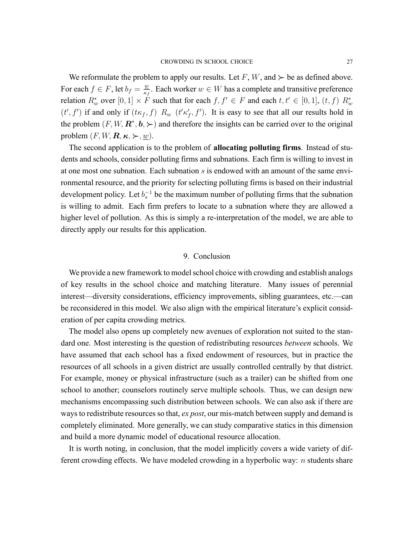We reformulate the problem to apply our results. Let  $F$ ,  $W$ , and  $\succ$  be as defined above. For each  $f \in F$ , let  $b_f = \frac{w}{\kappa}$  $\frac{w}{\kappa_f}$ . Each worker  $w \in W$  has a complete and transitive preference relation  $R_w^*$  over  $[0,1] \times F$  such that for each  $f, f' \in F$  and each  $t, t' \in [0,1]$ ,  $(t, f)$   $R_w^*$  $(t', f')$  if and only if  $(t\kappa_f, f)$   $R_w$   $(t'\kappa'_f, f')$ . It is easy to see that all our results hold in the problem  $(F, W, \mathbf{R}^*, \mathbf{b}, \succ)$  and therefore the insights can be carried over to the original problem  $(F, W, \mathbf{R}, \kappa, \succ, w)$ .

The second application is to the problem of **allocating polluting firms**. Instead of students and schools, consider polluting firms and subnations. Each firm is willing to invest in at one most one subnation. Each subnation *s* is endowed with an amount of the same environmental resource, and the priority for selecting polluting firms is based on their industrial development policy. Let  $b_s^{-1}$  be the maximum number of polluting firms that the subnation is willing to admit. Each firm prefers to locate to a subnation where they are allowed a higher level of pollution. As this is simply a re-interpretation of the model, we are able to directly apply our results for this application.

## 9. Conclusion

<span id="page-26-0"></span>We provide a new framework to model school choice with crowding and establish analogs of key results in the school choice and matching literature. Many issues of perennial interest—diversity considerations, efficiency improvements, sibling guarantees, etc.—can be reconsidered in this model. We also align with the empirical literature's explicit consideration of per capita crowding metrics.

The model also opens up completely new avenues of exploration not suited to the standard one. Most interesting is the question of redistributing resources *between* schools. We have assumed that each school has a fixed endowment of resources, but in practice the resources of all schools in a given district are usually controlled centrally by that district. For example, money or physical infrastructure (such as a trailer) can be shifted from one school to another; counselors routinely serve multiple schools. Thus, we can design new mechanisms encompassing such distribution between schools. We can also ask if there are ways to redistribute resources so that, *ex post*, our mis-match between supply and demand is completely eliminated. More generally, we can study comparative statics in this dimension and build a more dynamic model of educational resource allocation.

It is worth noting, in conclusion, that the model implicitly covers a wide variety of different crowding effects. We have modeled crowding in a hyperbolic way: *n* students share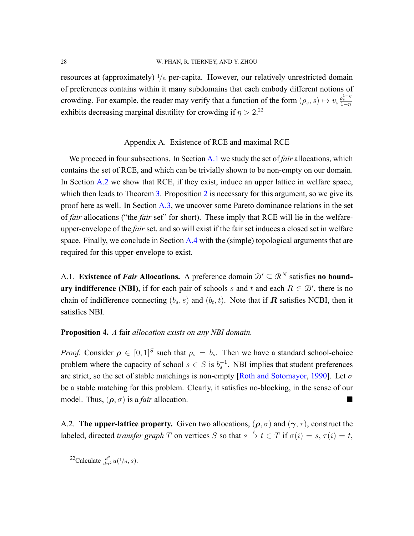resources at (approximately)  $1/n$  per-capita. However, our relatively unrestricted domain of preferences contains within it many subdomains that each embody different notions of crowding. For example, the reader may verify that a function of the form  $(\rho_s, s) \mapsto v_s \frac{\rho_s^{1-\eta}}{1-\eta}$ exhibits decreasing marginal disutility for crowding if  $\eta > 2$ .<sup>22</sup>

### Appendix A. Existence of RCE and maximal RCE

We proceed in four subsections. In Section [A.1](#page-27-1) we study the set of *fair* allocations, which contains the set of RCE, and which can be trivially shown to be non-empty on our domain. In Section [A.2](#page-27-0) we show that RCE, if they exist, induce an upper lattice in welfare space, which then leads to Theorem  $\overline{3}$ . Proposition  $\overline{2}$  $\overline{2}$  $\overline{2}$  is necessary for this argument, so we give its proof here as well. In Section [A.3,](#page-33-1) we uncover some Pareto dominance relations in the set of *fair* allocations ("the *fair* set" for short). These imply that RCE will lie in the welfareupper-envelope of the *fair* set, and so will exist if the fair set induces a closed set in welfare space. Finally, we conclude in Section  $A_4$  with the (simple) topological arguments that are required for this upper-envelope to exist.

<span id="page-27-1"></span>A.1. **Existence of** *Fair* **Allocations.** A preference domain  $\mathcal{D}' \subseteq \mathbb{R}^N$  satisfies **no boundary indifference (NBI)**, if for each pair of schools *s* and *t* and each  $R \in \mathcal{D}'$ , there is no chain of indifference connecting  $(b_s, s)$  and  $(b_t, t)$ . Note that if  $\mathbf{R}$  satisfies NCBI, then it satisfies NBI.

# **Proposition 4.** *A* fair *allocation exists on any NBI domain.*

*Proof.* Consider  $\rho \in [0,1]^S$  such that  $\rho_s = b_s$ . Then we have a standard school-choice problem where the capacity of school  $s \in S$  is  $b_s^{-1}$ . NBI implies that student preferences are strict, so the set of stable matchings is nonempty[[Roth and Sotomayor,](#page-47-11) [1990\]](#page-47-11). Let *σ* be a stable matching for this problem. Clearly, it satisfies noblocking, in the sense of our model. Thus,  $(\rho, \sigma)$  is a *fair* allocation.

<span id="page-27-0"></span>A.2. **The upper-lattice property.** Given two allocations,  $(\rho, \sigma)$  and  $(\gamma, \tau)$ , construct the labeled, directed *transfer graph T* on vertices *S* so that  $s \stackrel{i}{\to} t \in T$  if  $\sigma(i) = s$ ,  $\tau(i) = t$ ,

<sup>22</sup>Calculate  $\frac{d^2}{dn^2}u(1/n, s)$ .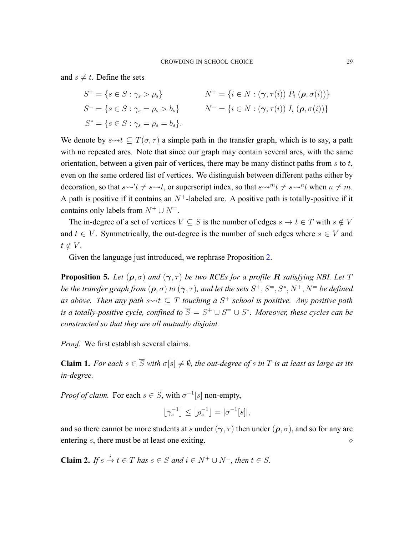and  $s \neq t$ . Define the sets

$$
S^{+} = \{s \in S : \gamma_{s} > \rho_{s}\} \qquad N^{+} = \{i \in N : (\gamma, \tau(i)) P_{i} (\rho, \sigma(i))\}
$$
  
\n
$$
S^{=} = \{s \in S : \gamma_{s} = \rho_{s} > b_{s}\} \qquad N^{=} = \{i \in N : (\gamma, \tau(i)) I_{i} (\rho, \sigma(i))\}
$$
  
\n
$$
S^{*} = \{s \in S : \gamma_{s} = \rho_{s} = b_{s}\}.
$$

We denote by  $s \rightarrow t \subseteq T(\sigma, \tau)$  a simple path in the transfer graph, which is to say, a path with no repeated arcs. Note that since our graph may contain several arcs, with the same orientation, between a given pair of vertices, there may be many distinct paths from *s* to *t*, even on the same ordered list of vertices. We distinguish between different paths either by decoration, so that  $s \rightsquigarrow' t \neq s \rightsquigarrow t$ , or superscript index, so that  $s \rightsquigarrow^m t \neq s \rightsquigarrow^n t$  when  $n \neq m$ . A path is positive if it contains an  $N^+$ -labeled arc. A positive path is totally-positive if it contains only labels from  $N^+ \cup N^-$ .

The in-degree of a set of vertices  $V \subseteq S$  is the number of edges  $s \to t \in T$  with  $s \notin V$ and  $t \in V$ . Symmetrically, the out-degree is the number of such edges where  $s \in V$  and  $t \notin V$ .

Given the language just introduced, we rephrase Proposition [2.](#page-18-1)

<span id="page-28-2"></span>**Proposition 5.** Let  $(\rho, \sigma)$  and  $(\gamma, \tau)$  be two RCEs for a profile **R** satisfying NBI. Let T *be the transfer graph from*  $(\rho, \sigma)$  *to*  $(\gamma, \tau)$ *, and let the sets*  $S^+, S^=$ ,  $S^*, N^+, N^=$  *be defined as above. Then any path s*⇝*t ⊆ T touching a S* <sup>+</sup> *school is positive. Any positive path is a totally-positive cycle, confined to*  $\overline{S} = S^+ \cup S^- \cup S^*$ *. Moreover, these cycles can be constructed so that they are all mutually disjoint.*

*Proof.* We first establish several claims.

<span id="page-28-0"></span>**Claim 1.** *For each*  $s \in \overline{S}$  *with*  $\sigma[s] \neq \emptyset$ *, the out-degree of s in T is at least as large as its indegree.*

*Proof of claim.* For each  $s \in \overline{S}$ , with  $\sigma^{-1}[s]$  non-empty,

$$
\lfloor \gamma_s^{-1} \rfloor \le \lfloor \rho_s^{-1} \rfloor = |\sigma^{-1}[s]|,
$$

and so there cannot be more students at *s* under ( $\gamma$ ,  $\tau$ ) then under ( $\rho$ ,  $\sigma$ ), and so for any arc entering *s*, there must be at least one exiting.

<span id="page-28-1"></span>**Claim 2.** If  $s \stackrel{i}{\to} t \in T$  has  $s \in \overline{S}$  and  $i \in N^+ \cup N^=$ , then  $t \in \overline{S}$ .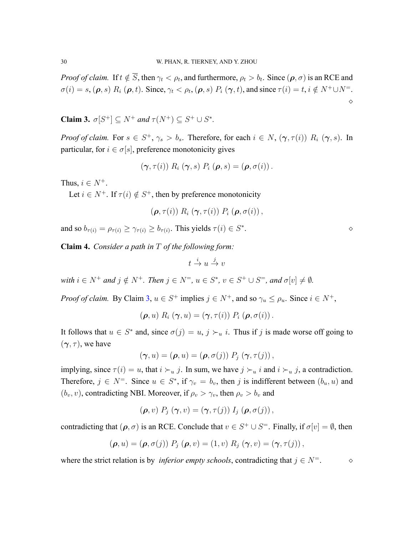*Proof of claim.* If  $t \notin S$ , then  $\gamma_t < \rho_t$ , and furthermore,  $\rho_t > b_t$ . Since  $(\rho, \sigma)$  is an RCE and  $\sigma(i) = s, (\rho, s) R_i (\rho, t)$ . Since,  $\gamma_t < \rho_t$ ,  $(\rho, s) P_i (\gamma, t)$ , and since  $\tau(i) = t, i \notin N^+ \cup N^=$ .  $\Diamond$ 

<span id="page-29-0"></span>**Claim 3.**  $\sigma[S^+] \subseteq N^+$  *and*  $\tau(N^+) \subseteq S^+ \cup S^*$ .

*Proof of claim.* For  $s \in S^+$ ,  $\gamma_s > b_s$ . Therefore, for each  $i \in N$ ,  $(\gamma, \tau(i))$   $R_i$   $(\gamma, s)$ . In particular, for  $i \in \sigma[s]$ , preference monotonicity gives

$$
(\boldsymbol{\gamma},\tau(i))\;R_i\;(\boldsymbol{\gamma},s)\;P_i\;(\boldsymbol{\rho},s)=(\boldsymbol{\rho},\sigma(i))\,.
$$

Thus,  $i \in N^+$ .

Let  $i \in N^+$ . If  $\tau(i) \notin S^+$ , then by preference monotonicity

$$
(\boldsymbol{\rho},\tau(i)) R_i (\boldsymbol{\gamma},\tau(i)) P_i (\boldsymbol{\rho},\sigma(i)),
$$

and so  $b_{\tau(i)} = \rho_{\tau(i)} \geq \gamma_{\tau(i)} \geq b_{\tau(i)}$ . This yields  $\tau(i) \in S^*$ 

<span id="page-29-1"></span>**Claim 4.** *Consider a path in T of the following form:*

$$
t \stackrel{i}{\to} u \stackrel{j}{\to} v
$$

with  $i \in N^+$  and  $j \notin N^+$ . Then  $j \in N^=$ ,  $u \in S^*$ ,  $v \in S^+ \cup S^=$ , and  $\sigma[v] \neq \emptyset$ .

*Proof of claim.* By Claim [3,](#page-29-0)  $u \in S^+$  implies  $j \in N^+$ , and so  $\gamma_u \le \rho_u$ . Since  $i \in N^+$ ,

$$
(\boldsymbol{\rho},u) R_i (\boldsymbol{\gamma},u) = (\boldsymbol{\gamma},\tau(i)) P_i (\boldsymbol{\rho},\sigma(i)).
$$

It follows that  $u \in S^*$  and, since  $\sigma(j) = u, j \succ_u i$ . Thus if *j* is made worse off going to  $({\boldsymbol{\gamma}},{\boldsymbol{\tau}})$ , we have

$$
(\boldsymbol{\gamma},u)=(\boldsymbol{\rho},u)=(\boldsymbol{\rho},\sigma(j))\;P_j\;(\boldsymbol{\gamma},\tau(j))\,,
$$

implying, since  $\tau(i) = u$ , that  $i \succ_u j$ . In sum, we have  $j \succ_u i$  and  $i \succ_u j$ , a contradiction. Therefore,  $j \in N^=$ . Since  $u \in S^*$ , if  $\gamma_v = b_v$ , then *j* is indifferent between  $(b_u, u)$  and  $(b_v, v)$ , contradicting NBI. Moreover, if  $\rho_v > \gamma_v$ , then  $\rho_v > b_v$  and

$$
(\boldsymbol{\rho},v)\,P_j\left(\boldsymbol{\gamma},v\right)=(\boldsymbol{\gamma},\tau(j))\,I_j\left(\boldsymbol{\rho},\sigma(j)\right),
$$

contradicting that  $(\rho, \sigma)$  is an RCE. Conclude that  $v \in S^+ \cup S^-$ . Finally, if  $\sigma[v] = \emptyset$ , then

$$
(\boldsymbol{\rho},u)=(\boldsymbol{\rho},\sigma(j))\;P_j\;(\boldsymbol{\rho},v)=(1,v)\;R_j\;(\boldsymbol{\gamma},v)=(\boldsymbol{\gamma},\tau(j)),
$$

where the strict relation is by *inferior empty schools*, contradicting that  $j \in N^=$ .  $\diamond$ 

|   | $\Diamond$ |
|---|------------|
| ٠ |            |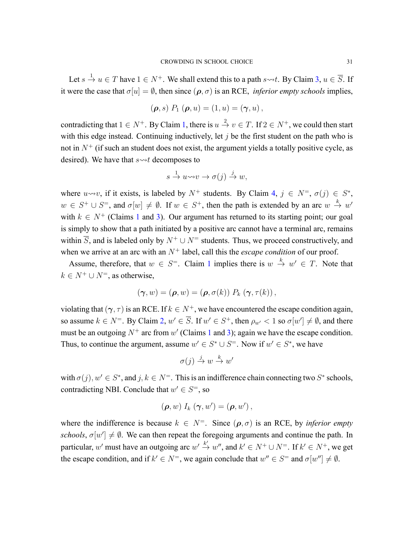Let  $s \stackrel{1}{\rightarrow} u \in T$  have  $1 \in N^+$ . We shall extend this to a path  $s \rightsquigarrow t$ . By Claim [3](#page-29-0),  $u \in \overline{S}$ . If it were the case that  $\sigma[u] = \emptyset$ , then since  $(\rho, \sigma)$  is an RCE, *inferior empty schools* implies,

$$
(\rho, s) P_1 (\rho, u) = (1, u) = (\gamma, u),
$$

contradicting that  $1 \in N^+$  $1 \in N^+$ . By Claim 1, there is  $u \stackrel{2}{\rightarrow} v \in T$ . If  $2 \in N^+$ , we could then start with this edge instead. Continuing inductively, let *j* be the first student on the path who is not in  $N<sup>+</sup>$  (if such an student does not exist, the argument yields a totally positive cycle, as desired). We have that  $s \rightarrow t$  decomposes to

$$
s \xrightarrow{1} u \leadsto v \to \sigma(j) \xrightarrow{j} w,
$$

where  $u \rightsquigarrow v$ , if it exists, is labeled by  $N^+$  students. By Claim [4,](#page-29-1)  $j \in N^=$ ,  $\sigma(j) \in S^*$ ,  $w \in S^+ \cup S^-$ , and  $\sigma[w] \neq \emptyset$ . If  $w \in S^+$ , then the path is extended by an arc  $w \stackrel{k}{\rightarrow} w'$ with  $k \in N^+$  (Claims [1](#page-28-0) and [3](#page-29-0)). Our argument has returned to its starting point; our goal is simply to show that a path initiated by a positive arc cannot have a terminal arc, remains within  $\overline{S}$ , and is labeled only by  $N^+ \cup N^-$  students. Thus, we proceed constructively, and when we arrive at an arc with an  $N^+$  label, call this the *escape condition* of our proof.

Assume, therefore, that  $w \in S^=$ . Claim [1](#page-28-0) implies there is  $w \stackrel{k}{\to} w' \in T$ . Note that  $k ∈ N<sup>+</sup> ∪ N<sup>=</sup>$ , as otherwise,

$$
(\boldsymbol{\gamma},w)=(\boldsymbol{\rho},w)=(\boldsymbol{\rho},\sigma(k))\;P_k\left(\boldsymbol{\gamma},\tau(k)\right),
$$

violating that  $(\gamma, \tau)$  is an RCE. If  $k \in N^+$ , we have encountered the escape condition again, so assume  $k \in N^=$ . By Claim [2,](#page-28-1)  $w' \in \overline{S}$ . If  $w' \in S^+$ , then  $\rho_{w'} < 1$  so  $\sigma[w'] \neq \emptyset$ , and there must be an outgoing  $N^+$  arc from  $w'$  (Claims [1](#page-28-0) and [3\)](#page-29-0); again we have the escape condition. Thus, to continue the argument, assume  $w' \in S^* \cup S^*$ . Now if  $w' \in S^*$ , we have

$$
\sigma(j) \stackrel{j}{\to} w \stackrel{k}{\to} w'
$$

with  $\sigma(j)$ ,  $w' \in S^*$ , and  $j, k \in N^=$ . This is an indifference chain connecting two  $S^*$  schools, contradicting NBI. Conclude that  $w' \in S^=$ , so

$$
(\boldsymbol{\rho},w) I_k (\boldsymbol{\gamma},w') = (\boldsymbol{\rho},w'),
$$

where the indifference is because  $k \in N^=$ . Since  $(\rho, \sigma)$  is an RCE, by *inferior empty schools*,  $\sigma[w'] \neq \emptyset$ . We can then repeat the foregoing arguments and continue the path. In particular, w' must have an outgoing arc  $w' \stackrel{k'}{\rightarrow} w''$ , and  $k' \in N^+ \cup N^=$ . If  $k' \in N^+$ , we get the escape condition, and if  $k' \in N^=$ , we again conclude that  $w'' \in S^=$  and  $\sigma[w''] \neq \emptyset$ .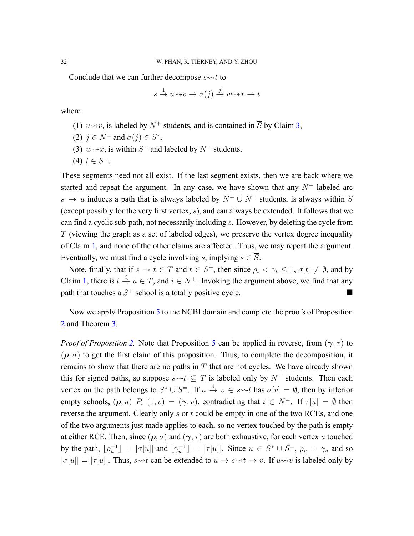Conclude that we can further decompose  $s \rightarrow t$  to

$$
s \xrightarrow{1} u \leadsto v \to \sigma(j) \xrightarrow{j} w \leadsto x \to t
$$

where

(1)  $u \rightarrow v$ , is labeled by  $N^+$  students, and is contained in  $\overline{S}$  by Claim [3,](#page-29-0)

(2) 
$$
j \in N^=
$$
 and  $\sigma(j) \in S^*$ ,

- (3)  $w \rightarrow x$ , is within  $S^=$  and labeled by  $N^=$  students,
- (4)  $t \in S^+$ .

These segments need not all exist. If the last segment exists, then we are back where we started and repeat the argument. In any case, we have shown that any  $N^+$  labeled arc *s* → *u* induces a path that is always labeled by  $N^+$   $\cup$   $N^-$  students, is always within  $\overline{S}$ (except possibly for the very first vertex, *s*), and can always be extended. It follows that we can find a cyclic sub-path, not necessarily including *s*. However, by deleting the cycle from *T* (viewing the graph as a set of labeled edges), we preserve the vertex degree inequality of Claim [1,](#page-28-0) and none of the other claims are affected. Thus, we may repeat the argument. Eventually, we must find a cycle involving *s*, implying  $s \in \overline{S}$ .

Note, finally, that if  $s \to t \in T$  and  $t \in S^+$ , then since  $\rho_t < \gamma_t \leq 1$ ,  $\sigma[t] \neq \emptyset$ , and by Claim [1](#page-28-0), there is  $t \stackrel{i}{\rightarrow} u \in T$ , and  $i \in N^+$ . Invoking the argument above, we find that any path that touches a  $S^+$  school is a totally positive cycle.

Now we apply Proposition [5](#page-28-2) to the NCBI domain and complete the proofs of Proposition [2](#page-18-1) and Theorem [3](#page-20-0).

*Proof of Proposition* [2](#page-18-1). Note that Proposition [5](#page-28-2) can be applied in reverse, from  $(\gamma, \tau)$  to  $(\rho, \sigma)$  to get the first claim of this proposition. Thus, to complete the decomposition, it remains to show that there are no paths in *T* that are not cycles. We have already shown this for signed paths, so suppose  $s \rightarrow t \subseteq T$  is labeled only by  $N^=$  students. Then each vertex on the path belongs to  $S^* \cup S^*$ . If  $u \stackrel{i}{\to} v \in s \leadsto t$  has  $\sigma[v] = \emptyset$ , then by inferior empty schools,  $(\rho, u)$   $P_i$   $(1, v) = (\gamma, v)$ , contradicting that  $i \in N^=$ . If  $\tau[u] = \emptyset$  then reverse the argument. Clearly only *s* or *t* could be empty in one of the two RCEs, and one of the two arguments just made applies to each, so no vertex touched by the path is empty at either RCE. Then, since  $(\rho, \sigma)$  and  $(\gamma, \tau)$  are both exhaustive, for each vertex *u* touched by the path,  $\lfloor \rho_u^{-1} \rfloor = |\sigma[u]|$  and  $\lfloor \gamma_u^{-1} \rfloor = |\tau[u]|$ . Since  $u \in S^* \cup S^=$ ,  $\rho_u = \gamma_u$  and so  $|\sigma[u]| = |\tau[u]|$ . Thus, *s*<sup>*→+t*</sup> can be extended to  $u \to s \to t \to v$ . If  $u \to v$  is labeled only by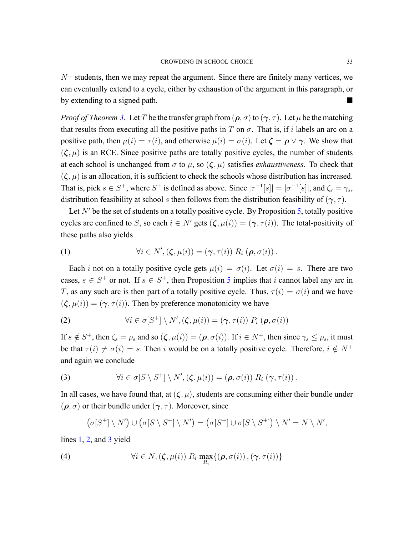$N<sup>=</sup>$  students, then we may repeat the argument. Since there are finitely many vertices, we can eventually extend to a cycle, either by exhaustion of the argument in this paragraph, or by extending to a signed path.

*Proof of Theorem [3](#page-20-0).* Let *T* be the transfer graph from  $(\rho, \sigma)$  to  $(\gamma, \tau)$ . Let  $\mu$  be the matching that results from executing all the positive paths in *T* on  $\sigma$ . That is, if *i* labels an arc on a positive path, then  $\mu(i) = \tau(i)$ , and otherwise  $\mu(i) = \sigma(i)$ . Let  $\zeta = \rho \vee \gamma$ . We show that  $(\zeta, \mu)$  is an RCE. Since positive paths are totally positive cycles, the number of students at each school is unchanged from  $\sigma$  to  $\mu$ , so  $(\zeta, \mu)$  satisfies *exhaustiveness*. To check that  $(\zeta, \mu)$  is an allocation, it is sufficient to check the schools whose distribution has increased. That is, pick  $s \in S^+$ , where  $S^+$  is defined as above. Since  $|\tau^{-1}[s]| = |\sigma^{-1}[s]|$ , and  $\zeta_s = \gamma_s$ , distribution feasibility at school *s* then follows from the distribution feasibility of (*γ, τ* ).

Let *N'* be the set of students on a totally positive cycle. By Proposition [5](#page-28-2), totally positive cycles are confined to  $\overline{S}$ , so each  $i \in N'$  gets  $(\zeta, \mu(i)) = (\gamma, \tau(i))$ . The total-positivity of these paths also yields

<span id="page-32-0"></span>(1) 
$$
\forall i \in N', (\zeta, \mu(i)) = (\gamma, \tau(i)) R_i (\rho, \sigma(i)).
$$

Each *i* not on a totally positive cycle gets  $\mu(i) = \sigma(i)$ . Let  $\sigma(i) = s$ . There are two cases,  $s \in S^+$  or not. If  $s \in S^+$ , then Proposition [5](#page-28-2) implies that *i* cannot label any arc in *T*, as any such arc is then part of a totally positive cycle. Thus,  $\tau(i) = \sigma(i)$  and we have  $({\zeta}, \mu(i)) = ({\gamma}, {\tau}(i))$ . Then by preference monotonicity we have

<span id="page-32-1"></span>(2) 
$$
\forall i \in \sigma[S^+] \setminus N', (\zeta, \mu(i)) = (\gamma, \tau(i)) P_i (\rho, \sigma(i))
$$

If  $s \notin S^+$ , then  $\zeta_s = \rho_s$  and so  $(\zeta, \mu(i)) = (\rho, \sigma(i))$ . If  $i \in N^+$ , then since  $\gamma_s \le \rho_s$ , it must be that  $\tau(i) \neq \sigma(i) = s$ . Then *i* would be on a totally positive cycle. Therefore,  $i \notin N^+$ and again we conclude

<span id="page-32-2"></span>(3) 
$$
\forall i \in \sigma[S \setminus S^+] \setminus N', (\zeta, \mu(i)) = (\boldsymbol{\rho}, \sigma(i)) R_i (\boldsymbol{\gamma}, \tau(i)).
$$

In all cases, we have found that, at  $(\zeta, \mu)$ , students are consuming either their bundle under  $(\rho, \sigma)$  or their bundle under  $(\gamma, \tau)$ . Moreover, since

<span id="page-32-3"></span>
$$
(\sigma[S^+] \setminus N') \cup (\sigma[S \setminus S^+] \setminus N') = (\sigma[S^+] \cup \sigma[S \setminus S^+]) \setminus N' = N \setminus N',
$$

lines [1,](#page-32-0) [2,](#page-32-1) and [3](#page-32-2) yield

(4) 
$$
\forall i \in N, (\zeta, \mu(i)) \ R_i \ \max_{R_i} \{(\boldsymbol{\rho}, \sigma(i)), (\boldsymbol{\gamma}, \tau(i))\}
$$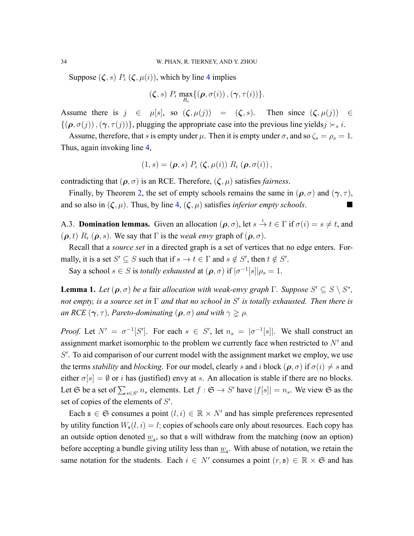Suppose  $(\zeta, s)$   $P_i$   $(\zeta, \mu(i))$ , which by line [4](#page-32-3) implies

$$
(\boldsymbol{\zeta},s)\;P_i\;\max_{R_i}\{(\boldsymbol{\rho},\sigma(i))\,,(\boldsymbol{\gamma},\tau(i))\}.
$$

Assume there is  $j \in \mu[s]$ , so  $(\zeta, \mu(j)) = (\zeta, s)$ . Then since  $(\zeta, \mu(j)) \in$  $\{(\rho, \sigma(j)), (\gamma, \tau(j))\}$ , plugging the appropriate case into the previous line yields $j \succ s i$ .

Assume, therefore, that *s* is empty under  $\mu$ . Then it is empty under  $\sigma$ , and so  $\zeta_s = \rho_s = 1$ . Thus, again invoking line [4](#page-32-3),

$$
(1,s)=(\boldsymbol{\rho},s)\;P_i\left(\boldsymbol{\zeta},\mu(i)\right)\,R_i\left(\boldsymbol{\rho},\sigma(i)\right),
$$

contradicting that  $(\rho, \sigma)$  is an RCE. Therefore,  $(\zeta, \mu)$  satisfies *fairness*.

Finally, by Theorem [2,](#page-19-0) the set of empty schools remains the same in  $(\rho, \sigma)$  and  $(\gamma, \tau)$ , and so also in  $(\zeta, \mu)$ . Thus, by line [4](#page-32-3),  $(\zeta, \mu)$  satisfies *inferior empty schools*.

<span id="page-33-1"></span>A.3. **Domination lemmas.** Given an allocation  $(\rho, \sigma)$ , let  $s \stackrel{i}{\to} t \in \Gamma$  if  $\sigma(i) = s \neq t$ , and  $(\rho, t)$   $R_i$   $(\rho, s)$ . We say that  $\Gamma$  is the *weak envy* graph of  $(\rho, \sigma)$ .

Recall that a *source set* in a directed graph is a set of vertices that no edge enters. Formally, it is a set  $S' \subseteq S$  such that if  $s \to t \in \Gamma$  and  $s \notin S'$ , then  $t \notin S'$ .

Say a school  $s \in S$  is *totally exhausted* at  $(\rho, \sigma)$  if  $|\sigma^{-1}[s]| \rho_s = 1$ .

<span id="page-33-0"></span>**Lemma 1.** Let  $(\rho, \sigma)$  be a fair allocation with weak-envy graph  $\Gamma$ . Suppose  $S' \subseteq S \setminus S^*$ , *not empty, is a source set in* Γ *and that no school in S ′ is totally exhausted. Then there is an RCE*  $({\gamma}, {\tau})$ *, Pareto-dominating*  $({\rho}, {\sigma})$  *and with*  ${\gamma} \geq {\rho}$ *.* 

*Proof.* Let  $N' = \sigma^{-1}[S']$ . For each  $s \in S'$ , let  $n_s = |\sigma^{-1}[s]|$ . We shall construct an assignment market isomorphic to the problem we currently face when restricted to *N′* and *S ′* . To aid comparison of our current model with the assignment market we employ, we use the terms *stability* and *blocking*. For our model, clearly *s* and *i* block  $(\rho, \sigma)$  if  $\sigma(i) \neq s$  and either  $\sigma[s] = \emptyset$  or *i* has (justified) envy at *s*. An allocation is stable if there are no blocks. Let G be a set of  $\sum_{s \in S'} n_s$  elements. Let  $f : G \to S'$  have  $|f[s]| = n_s$ . We view G as the set of copies of the elements of *S ′* .

Each  $\mathfrak{s} \in \mathfrak{S}$  consumes a point  $(l, i) \in \mathbb{R} \times N'$  and has simple preferences represented by utility function  $W_s(l, i) = l$ ; copies of schools care only about resources. Each copy has an outside option denoted  $\underline{w}_s$ , so that  $s$  will withdraw from the matching (now an option) before accepting a bundle giving utility less than  $\underline{w}_s$ . With abuse of notation, we retain the same notation for the students. Each  $i \in N'$  consumes a point  $(r, \mathfrak{s}) \in \mathbb{R} \times \mathfrak{S}$  and has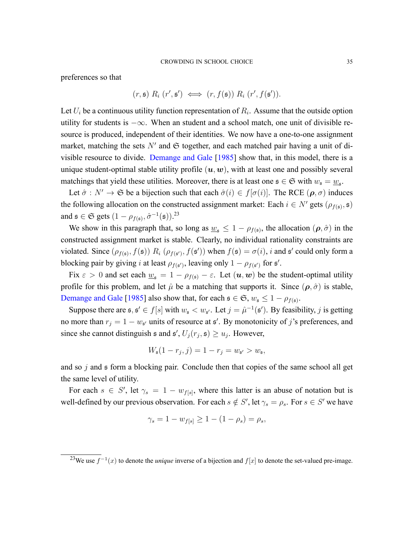preferences so that

$$
(r, \mathfrak{s}) R_i (r', \mathfrak{s}') \iff (r, f(\mathfrak{s})) R_i (r', f(\mathfrak{s}')).
$$

Let *U<sup>i</sup>* be a continuous utility function representation of *R<sup>i</sup>* . Assume that the outside option utility for students is *−∞*. When an student and a school match, one unit of divisible resource is produced, independent of their identities. We now have a one-to-one assignment market, matching the sets  $N'$  and  $\mathfrak S$  together, and each matched pair having a unit of divisible resource to divide. [Demange and Gale](#page-45-10) [[1985\]](#page-45-10) show that, in this model, there is a unique student-optimal stable utility profile  $(u, w)$ , with at least one and possibly several matchings that yield these utilities. Moreover, there is at least one  $\mathfrak{s} \in \mathfrak{S}$  with  $w_{\mathfrak{s}} = \underline{w}_{\mathfrak{s}}$ .

Let  $\hat{\sigma}: N' \to \mathfrak{S}$  be a bijection such that each  $\hat{\sigma}(i) \in f[\sigma(i)]$ . The RCE  $(\rho, \sigma)$  induces the following allocation on the constructed assignment market: Each  $i \in N'$  gets ( $\rho_{f(s)}, \mathfrak{s}$ ) and  $\mathfrak{s} \in \mathfrak{S}$  gets  $(1 - \rho_{f(\mathfrak{s})}, \hat{\sigma}^{-1}(\mathfrak{s}))$ .<sup>23</sup>

We show in this paragraph that, so long as  $\underline{w}_s \leq 1 - \rho_{f(s)}$ , the allocation  $(\rho, \hat{\sigma})$  in the constructed assignment market is stable. Clearly, no individual rationality constraints are violated. Since  $(\rho_{f(s)}, f(s))$   $R_i$   $(\rho_{f(s')}, f(s'))$  when  $f(s) = \sigma(i)$ , *i* and s' could only form a blocking pair by giving *i* at least  $\rho_{f(s')}$ , leaving only  $1 - \rho_{f(s')}$  for  $s'$ .

Fix  $\varepsilon > 0$  and set each  $\underline{w}_{s} = 1 - \rho_{f(s)} - \varepsilon$ . Let  $(\mathbf{u}, \mathbf{w})$  be the student-optimal utility profile for this problem, and let  $\hat{\mu}$  be a matching that supports it. Since  $(\rho, \hat{\sigma})$  is stable, [Demange and Gale](#page-45-10) [[1985](#page-45-10)] also show that, for each  $\mathfrak{s} \in \mathfrak{S}$ ,  $w_{\mathfrak{s}} \leq 1 - \rho_{f(\mathfrak{s})}$ .

Suppose there are  $\mathfrak{s}, \mathfrak{s}' \in f[s]$  with  $w_{\mathfrak{s}} < w_{\mathfrak{s}'}$ . Let  $j = \hat{\mu}^{-1}(\mathfrak{s}')$ . By feasibility, *j* is getting no more than  $r_j = 1 - w_{\mathfrak{s}'}$  units of resource at  $\mathfrak{s}'$ . By monotonicity of *j*'s preferences, and since she cannot distinguish  $\mathfrak{s}$  and  $\mathfrak{s}'$ ,  $U_j(r_j, \mathfrak{s}) \ge u_j$ . However,

$$
W_{\mathfrak{s}}(1-r_j,j)=1-r_j=w_{\mathfrak{s}'}>w_{\mathfrak{s}},
$$

and so *j* and s form a blocking pair. Conclude then that copies of the same school all get the same level of utility.

For each  $s \in S'$ , let  $\gamma_s = 1 - w_{f[s]}$ , where this latter is an abuse of notation but is well-defined by our previous observation. For each  $s \notin S'$ , let  $\gamma_s = \rho_s$ . For  $s \in S'$  we have

$$
\gamma_s = 1 - w_{f[s]} \ge 1 - (1 - \rho_s) = \rho_s,
$$

<sup>&</sup>lt;sup>23</sup>We use  $f^{-1}(x)$  to denote the *unique* inverse of a bijection and  $f[x]$  to denote the set-valued pre-image.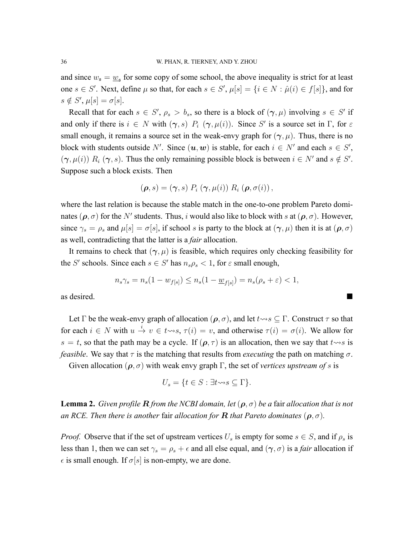and since  $w_s = \underline{w}_s$  for some copy of some school, the above inequality is strict for at least one  $s \in S'$ . Next, define  $\mu$  so that, for each  $s \in S'$ ,  $\mu[s] = \{i \in N : \hat{\mu}(i) \in f[s]\}$ , and for  $s \notin S', \mu[s] = \sigma[s].$ 

Recall that for each  $s \in S'$ ,  $\rho_s > b_s$ , so there is a block of  $(\gamma, \mu)$  involving  $s \in S'$  if and only if there is  $i \in N$  with  $(\gamma, s)$   $P_i$   $(\gamma, \mu(i))$ . Since *S'* is a source set in  $\Gamma$ , for  $\varepsilon$ small enough, it remains a source set in the weak-envy graph for  $(\gamma, \mu)$ . Thus, there is no block with students outside *N'*. Since  $(\boldsymbol{u}, \boldsymbol{w})$  is stable, for each  $i \in N'$  and each  $s \in S'$ ,  $(\gamma, \mu(i))$   $R_i$   $(\gamma, s)$ . Thus the only remaining possible block is between  $i \in N'$  and  $s \notin S'$ . Suppose such a block exists. Then

$$
(\boldsymbol{\rho},s)=(\boldsymbol{\gamma},s)\;P_i\left(\boldsymbol{\gamma},\mu(i)\right)R_i\left(\boldsymbol{\rho},\sigma(i)\right),
$$

where the last relation is because the stable match in the one-to-one problem Pareto dominates  $(\rho, \sigma)$  for the *N'* students. Thus, *i* would also like to block with *s* at  $(\rho, \sigma)$ . However, since  $\gamma_s = \rho_s$  and  $\mu[s] = \sigma[s]$ , if school *s* is party to the block at  $(\gamma, \mu)$  then it is at  $(\rho, \sigma)$ as well, contradicting that the latter is a *fair* allocation.

It remains to check that  $(\gamma, \mu)$  is feasible, which requires only checking feasibility for the *S'* schools. Since each  $s \in S'$  has  $n_s \rho_s < 1$ , for  $\varepsilon$  small enough,

$$
n_s \gamma_s = n_s (1 - w_{f[s]}) \le n_s (1 - \underline{w}_{f[s]}) = n_s (\rho_s + \varepsilon) < 1,
$$

as desired.  $\blacksquare$ 

Let  $\Gamma$  be the weak-envy graph of allocation  $(\rho, \sigma)$ , and let  $t \rightsquigarrow s \subseteq \Gamma$ . Construct  $\tau$  so that for each  $i \in N$  with  $u \stackrel{i}{\rightarrow} v \in t \rightarrow s$ ,  $\tau(i) = v$ , and otherwise  $\tau(i) = \sigma(i)$ . We allow for  $s = t$ , so that the path may be a cycle. If  $(\rho, \tau)$  is an allocation, then we say that  $t \rightsquigarrow s$  is *feasible*. We say that  $\tau$  is the matching that results from *executing* the path on matching  $\sigma$ .

Given allocation ( $\rho$ ,  $\sigma$ ) with weak envy graph Γ, the set of *vertices upstream of s* is

$$
U_s = \{ t \in S : \exists t \leadsto s \subseteq \Gamma \}.
$$

<span id="page-35-0"></span>**Lemma 2.** *Given profile*  $R$  *from the NCBI domain, let*  $(\rho, \sigma)$  *be a fair allocation that is not an RCE. Then there is another fair allocation for R that Pareto dominates*  $(\rho, \sigma)$ *.* 

*Proof.* Observe that if the set of upstream vertices  $U_s$  is empty for some  $s \in S$ , and if  $\rho_s$  is less than 1, then we can set  $\gamma_s = \rho_s + \epsilon$  and all else equal, and  $(\gamma, \sigma)$  is a *fair* allocation if  $\epsilon$  is small enough. If  $\sigma[s]$  is non-empty, we are done.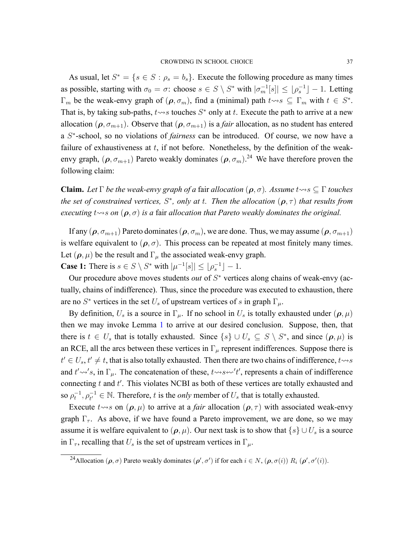As usual, let  $S^* = \{s \in S : \rho_s = b_s\}$ . Execute the following procedure as many times as possible, starting with  $\sigma_0 = \sigma$ : choose  $s \in S \setminus S^*$  with  $|\sigma_m^{-1}[s]| \leq \lfloor \rho_s^{-1} \rfloor - 1$ . Letting  $\Gamma_m$  be the weak-envy graph of  $(\rho, \sigma_m)$ , find a (minimal) path  $t \rightarrow s \subseteq \Gamma_m$  with  $t \in S^*$ . That is, by taking sub-paths,  $t \rightarrow s$  touches  $S^*$  only at  $t$ . Execute the path to arrive at a new allocation ( $\rho$ ,  $\sigma_{m+1}$ ). Observe that ( $\rho$ ,  $\sigma_{m+1}$ ) is a *fair* allocation, as no student has entered a *S ∗* school, so no violations of *fairness* can be introduced. Of course, we now have a failure of exhaustiveness at *t*, if not before. Nonetheless, by the definition of the weakenvy graph,  $(\rho, \sigma_{m+1})$  Pareto weakly dominates  $(\rho, \sigma_m)$ <sup>24</sup> We have therefore proven the following claim:

**Claim.** Let  $\Gamma$  be the weak-envy graph of a fair allocation  $(\rho, \sigma)$ . Assume  $t \rightsquigarrow s \subseteq \Gamma$  touches *the set of constrained vertices, S<sup>\*</sup>, only at t. Then the allocation* ( $ρ, τ$ ) *that results from executing t*⇝*s on* (*ρ, σ*) *is a* fair *allocation that Pareto weakly dominates the original.*

If any  $(\rho, \sigma_{m+1})$  Pareto dominates  $(\rho, \sigma_m)$ , we are done. Thus, we may assume  $(\rho, \sigma_{m+1})$ is welfare equivalent to  $(\rho, \sigma)$ . This process can be repeated at most finitely many times. Let  $(\rho, \mu)$  be the result and  $\Gamma_{\mu}$  the associated weak-envy graph. **Case 1:** There is  $s \in S \setminus S^*$  with  $|\mu^{-1}[s]| \leq \lfloor \rho_s^{-1} \rfloor - 1$ .

Our procedure above moves students *out* of  $S^*$  vertices along chains of weak-envy (actually, chains of indifference). Thus, since the procedure was executed to exhaustion, there are no  $S^*$  vertices in the set  $U_s$  of upstream vertices of *s* in graph  $\Gamma_\mu$ .

By definition,  $U_s$  is a source in  $\Gamma_\mu$ . If no school in  $U_s$  is totally exhausted under  $(\rho, \mu)$ then we may invoke Lemma [1](#page-33-0) to arrive at our desired conclusion. Suppose, then, that there is  $t \in U_s$  that is totally exhausted. Since  $\{s\} \cup U_s \subseteq S \setminus S^*$ , and since  $(\rho, \mu)$  is an RCE, all the arcs between these vertices in  $\Gamma_{\mu}$  represent indifferences. Suppose there is  $t' \in U_s$ ,  $t' \neq t$ , that is also totally exhausted. Then there are two chains of indifference,  $t \rightsquigarrow s$ and  $t' \rightsquigarrow$ 's, in  $\Gamma_{\mu}$ . The concatenation of these,  $t \rightsquigarrow s \rightsquigarrow' t'$ , represents a chain of indifference connecting *t* and *t ′* . This violates NCBI as both of these vertices are totally exhausted and so  $\rho_t^{-1}, \rho_t^{-1} \in \mathbb{N}$ . Therefore, *t* is the *only* member of  $U_s$  that is totally exhausted.

Execute  $t \rightsquigarrow s$  on  $(\rho, \mu)$  to arrive at a *fair* allocation  $(\rho, \tau)$  with associated weak-envy graph  $\Gamma_{\tau}$ . As above, if we have found a Pareto improvement, we are done, so we may assume it is welfare equivalent to  $(\rho, \mu)$ . Our next task is to show that  $\{s\} \cup U_s$  is a source in  $\Gamma_{\tau}$ , recalling that  $U_s$  is the set of upstream vertices in  $\Gamma_{\mu}$ .

<sup>&</sup>lt;sup>24</sup>Allocation  $(\rho, \sigma)$  Pareto weakly dominates  $(\rho', \sigma')$  if for each  $i \in N$ ,  $(\rho, \sigma(i))$   $R_i$   $(\rho', \sigma'(i))$ .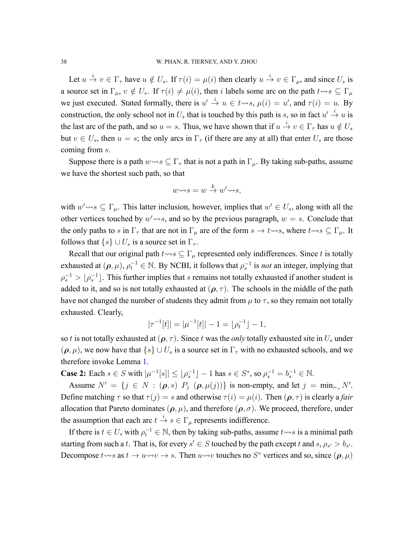Let  $u \stackrel{i}{\to} v \in \Gamma_\tau$  have  $u \notin U_s$ . If  $\tau(i) = \mu(i)$  then clearly  $u \stackrel{i}{\to} v \in \Gamma_\mu$ , and since  $U_s$  is a source set in  $\Gamma_u$ ,  $v \notin U_s$ . If  $\tau(i) \neq \mu(i)$ , then *i* labels some arc on the path  $t \rightsquigarrow s \subseteq \Gamma_u$ we just executed. Stated formally, there is  $u' \stackrel{i}{\rightarrow} u \in t \rightarrow s$ ,  $\mu(i) = u'$ , and  $\tau(i) = u$ . By construction, the only school not in  $U_s$  that is touched by this path is *s*, so in fact  $u' \stackrel{i}{\rightarrow} u$  is the last arc of the path, and so  $u = s$ . Thus, we have shown that if  $u \stackrel{i}{\rightarrow} v \in \Gamma_\tau$  has  $u \notin U_s$ but  $v \in U_s$ , then  $u = s$ ; the only arcs in  $\Gamma_\tau$  (if there are any at all) that enter  $U_s$  are those coming from *s*.

Suppose there is a path  $w \rightarrow s \subseteq \Gamma_{\tau}$  that is not a path in  $\Gamma_{\mu}$ . By taking sub-paths, assume we have the shortest such path, so that

$$
w \rightarrow s = w \stackrel{k}{\rightarrow} w' \rightarrow s,
$$

with  $w' \rightsquigarrow s \subseteq \Gamma_\mu$ . This latter inclusion, however, implies that  $w' \in U_s$ , along with all the other vertices touched by  $w' \rightarrow s$ , and so by the previous paragraph,  $w = s$ . Conclude that the only paths to *s* in  $\Gamma_{\tau}$  that are not in  $\Gamma_{\mu}$  are of the form  $s \to t \rightsquigarrow s$ , where  $t \rightsquigarrow s \subseteq \Gamma_{\mu}$ . It follows that  $\{s\} \cup U_s$  is a source set in  $\Gamma_{\tau}$ .

Recall that our original path  $t \rightsquigarrow s \subseteq \Gamma_\mu$  represented only indifferences. Since *t* is totally exhausted at  $(\rho, \mu)$ ,  $\rho_t^{-1} \in \mathbb{N}$ . By NCBI, it follows that  $\rho_s^{-1}$  is *not* an integer, implying that  $\rho_s^{-1} > \lfloor \rho_s^{-1} \rfloor$ . This further implies that *s* remains not totally exhausted if another student is added to it, and so is not totally exhausted at  $(\rho, \tau)$ . The schools in the middle of the path have not changed the number of students they admit from  $\mu$  to  $\tau$ , so they remain not totally exhausted. Clearly,

$$
|\tau^{-1}[t]| = |\mu^{-1}[t]| - 1 = \lfloor \rho_t^{-1} \rfloor - 1,
$$

so *t* is not totally exhausted at  $(\rho, \tau)$ . Since *t* was the *only* totally exhausted site in  $U_s$  under  $(\rho, \mu)$ , we now have that  $\{s\} \cup U_s$  is a source set in  $\Gamma_\tau$  with no exhausted schools, and we therefore invoke Lemma [1](#page-33-0).

**Case 2:** Each  $s \in S$  with  $|\mu^{-1}[s]| \leq |\rho_s^{-1}| - 1$  has  $s \in S^*$ , so  $\rho_s^{-1} = b_s^{-1} \in \mathbb{N}$ .

Assume  $N' = \{j \in N : (\boldsymbol{\rho}, s) \: P_j \: (\boldsymbol{\rho}, \mu(j))\}$  is non-empty, and let  $j = \min_{\succ s} N'$ . Define matching  $\tau$  so that  $\tau(j) = s$  and otherwise  $\tau(i) = \mu(i)$ . Then  $(\rho, \tau)$  is clearly a *fair* allocation that Pareto dominates  $(\rho, \mu)$ , and therefore  $(\rho, \sigma)$ . We proceed, therefore, under the assumption that each arc  $t \stackrel{i}{\rightarrow} s \in \Gamma_{\mu}$  represents indifference.

If there is  $t \in U_s$  with  $\rho_t^{-1} \in \mathbb{N}$ , then by taking sub-paths, assume  $t \rightsquigarrow s$  is a minimal path starting from such a *t*. That is, for every  $s' \in S$  touched by the path except *t* and  $s, \rho_{s'} > b_{s'}$ . Decompose  $t \rightsquigarrow s$  as  $t \rightarrow u \rightsquigarrow v \rightarrow s$ . Then  $u \rightsquigarrow v$  touches no  $S^*$  vertices and so, since  $(\rho, \mu)$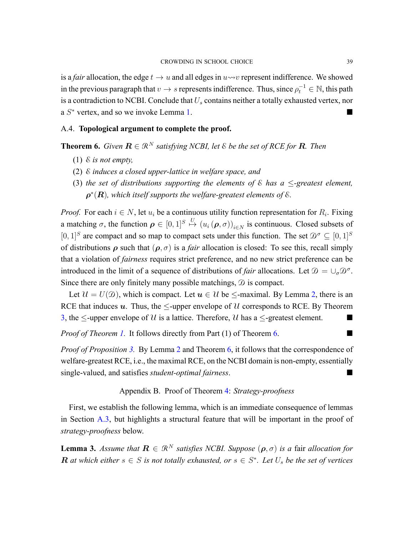is a *fair* allocation, the edge  $t \to u$  and all edges in  $u \rightarrow v$  represent indifference. We showed in the previous paragraph that  $v \to s$  represents indifference. Thus, since  $\rho_t^{-1} \in \mathbb{N}$ , this path is a contradiction to NCBI. Conclude that *U<sup>s</sup>* contains neither a totally exhausted vertex, nor a  $S^*$  vertex, and so we invoke Lemma [1.](#page-33-0)

## <span id="page-38-0"></span>A.4. **Topological argument to complete the proof.**

<span id="page-38-1"></span>**Theorem 6.** *Given*  $\mathbf{R} \in \mathbb{R}^N$  *satisfying NCBI, let*  $\&$  *be the set of RCE for*  $\mathbf{R}$ *. Then* 

- (1) E *is not empty,*
- (2) E *induces a closed upperlattice in welfare space, and*
- (3) *the set of distributions supporting the elements of* E *has a ≤greatest element,*  $\rho^*(\bm{R})$ , which itself supports the welfare-greatest elements of  $\&$ .

*Proof.* For each  $i \in N$ , let  $u_i$  be a continuous utility function representation for  $R_i$ . Fixing a matching  $\sigma$ , the function  $\rho \in [0,1]^S \stackrel{U}{\mapsto} (u_i(\rho,\sigma))_{i \in N}$  is continuous. Closed subsets of  $[0, 1]$ <sup>S</sup> are compact and so map to compact sets under this function. The set  $\mathcal{D}^{\sigma} \subseteq [0, 1]$ <sup>S</sup> of distributions  $\rho$  such that  $(\rho, \sigma)$  is a *fair* allocation is closed: To see this, recall simply that a violation of *fairness* requires strict preference, and no new strict preference can be introduced in the limit of a sequence of distributions of *fair* allocations. Let  $\mathcal{D} = \cup_{\sigma} \mathcal{D}^{\sigma}$ . Since there are only finitely many possible matchings,  $\mathcal D$  is compact.

Let  $\mathcal{U} = U(\mathcal{D})$ , which is compact. Let  $u \in \mathcal{U}$  be  $\leq$ -maximal. By Lemma [2,](#page-35-0) there is an RCE that induces  $u$ . Thus, the  $\leq$ -upper envelope of  $U$  corresponds to RCE. By Theorem [3,](#page-20-0) the  $\leq$ -upper envelope of U is a lattice. Therefore, U has a  $\leq$ -greatest element.

*Proof of Theorem [1](#page-16-0).* It follows directly from Part (1) of Theorem [6](#page-38-1). ■

*Proof of Proposition [3](#page-20-1).* By Lemma [2](#page-35-0) and Theorem [6,](#page-38-1) it follows that the correspondence of welfare-greatest RCE, i.e., the maximal RCE, on the NCBI domain is non-empty, essentially single-valued, and satisfies *student-optimal fairness*.

## Appendix B. Proof of Theorem [4](#page-22-0): *Strategy-proofness*

<span id="page-38-2"></span>First, we establish the following lemma, which is an immediate consequence of lemmas in Section [A.3](#page-33-1), but highlights a structural feature that will be important in the proof of *strategy-proofness* below.

<span id="page-38-3"></span>**Lemma 3.** *Assume that*  $\mathbf{R} \in \mathbb{R}^N$  *satisfies NCBI. Suppose*  $(\rho, \sigma)$  *is a fair allocation for*  $\bm{R}$  at which either  $s \in S$  is not totally exhausted, or  $s \in S^*$ . Let  $U_s$  be the set of vertices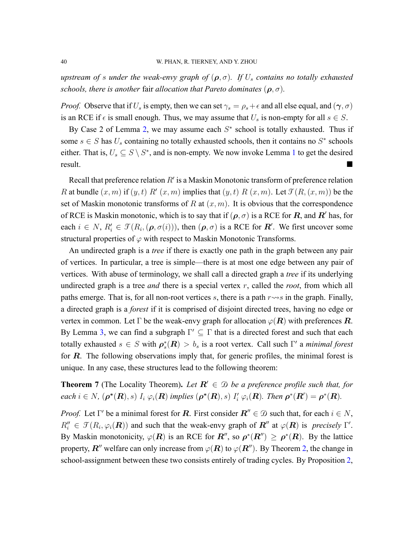*upstream of s under the weak-envy graph of*  $(\rho, \sigma)$ *. If*  $U_s$  *contains no totally exhausted schools, there is another fair allocation that Pareto dominates*  $(\rho, \sigma)$ *.* 

*Proof.* Observe that if  $U_s$  is empty, then we can set  $\gamma_s = \rho_s + \epsilon$  and all else equal, and  $(\gamma, \sigma)$ is an RCE if  $\epsilon$  is small enough. Thus, we may assume that  $U_s$  is non-empty for all  $s \in S$ .

By Case 2 of Lemma [2](#page-35-0), we may assume each *S ∗* school is totally exhausted. Thus if some  $s \in S$  has  $U_s$  containing no totally exhausted schools, then it contains no  $S^*$  schools either. That is,  $U_s \subseteq S \setminus S^*$ , and is non-empty. We now invoke Lemma [1](#page-33-0) to get the desired result.

Recall that preference relation *R′* is a Maskin Monotonic transform of preference relation *R* at bundle  $(x, m)$  if  $(y, t)$   $R'$   $(x, m)$  implies that  $(y, t)$   $R(x, m)$ . Let  $\mathcal{T}(R, (x, m))$  be the set of Maskin monotonic transforms of *R* at (*x, m*). It is obvious that the correspondence of RCE is Maskin monotonic, which is to say that if  $(\rho, \sigma)$  is a RCE for  $\bm{R}$ , and  $\bm{R}'$  has, for each  $i \in N$ ,  $R'_i \in \mathcal{T}(R_i, (\boldsymbol{\rho}, \sigma(i)))$ , then  $(\boldsymbol{\rho}, \sigma)$  is a RCE for  $\mathbf{R}'$ . We first uncover some structural properties of  $\varphi$  with respect to Maskin Monotonic Transforms.

An undirected graph is a *tree* if there is exactly one path in the graph between any pair of vertices. In particular, a tree is simple—there is at most one edge between any pair of vertices. With abuse of terminology, we shall call a directed graph a *tree* if its underlying undirected graph is a tree *and* there is a special vertex *r*, called the *root*, from which all paths emerge. That is, for all non-root vertices  $s$ , there is a path  $r \rightarrow s$  in the graph. Finally, a directed graph is a *forest* if it is comprised of disjoint directed trees, having no edge or vertex in common. Let  $\Gamma$  be the weak-envy graph for allocation  $\varphi(R)$  with preferences  $R$ . By Lemma [3,](#page-38-3) we can find a subgraph Γ *′ ⊆* Γ that is a directed forest and such that each totally exhausted  $s \in S$  with  $\rho_s^*(R) > b_s$  is a root vertex. Call such  $\Gamma'$  a *minimal forest* for *R*. The following observations imply that, for generic profiles, the minimal forest is unique. In any case, these structures lead to the following theorem:

**Theorem 7** (The Locality Theorem). Let  $R' \in \mathcal{D}$  be a preference profile such that, for each  $i \in N$ ,  $(\boldsymbol{\rho^*}(R), s)$   $I_i \varphi_i(R)$  implies  $(\boldsymbol{\rho^*}(R), s)$   $I'_i \varphi_i(R)$ . Then  $\boldsymbol{\rho^*}(R') = \boldsymbol{\rho^*}(R)$ .

*Proof.* Let Γ *′* be a minimal forest for *R*. First consider *R′′ ∈* D such that, for each *i ∈ N*,  $R''_i \in \mathcal{T}(R_i, \varphi_i(\mathbf{R}))$  and such that the weak-envy graph of  $\mathbf{R}''$  at  $\varphi(\mathbf{R})$  is *precisely* Γ'. By Maskin monotonicity,  $\varphi(R)$  is an RCE for  $R''$ , so  $\rho^*(R'') \ge \rho^*(R)$ . By the lattice property,  $\mathbf{R}^{\prime\prime}$  welfare can only increase from  $\varphi(\mathbf{R})$  to  $\varphi(\mathbf{R}^{\prime\prime})$ . By Theorem [2](#page-19-0), the change in school-assignment between these two consists entirely of trading cycles. By Proposition [2](#page-18-1),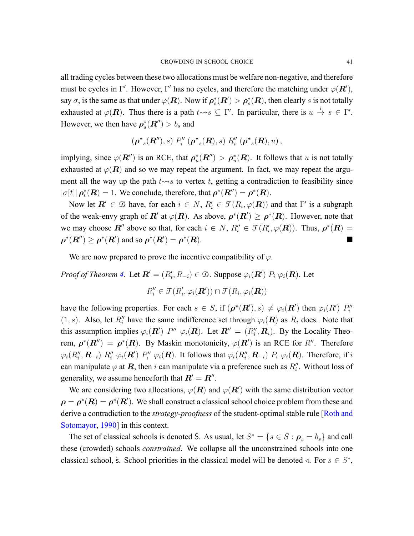all trading cycles between these two allocations must be welfare nonnegative, and therefore must be cycles in Γ *′* . However, Γ *′* has no cycles, and therefore the matching under *φ*(*R′* ), say  $\sigma$ , is the same as that under  $\varphi(\bm{R})$ . Now if  $\bm{\rho}_s^*(\bm{R}') > \bm{\rho}_s^*(\bm{R})$ , then clearly  $s$  is not totally exhausted at  $\varphi(\mathbf{R})$ . Thus there is a path  $t \leadsto s \subseteq \Gamma'$ . In particular, there is  $u \stackrel{i}{\to} s \in \Gamma'$ . However, we then have  $\rho_s^*(\boldsymbol{R}'') > b_s$  and

$$
(\boldsymbol{\rho^*}_{s}(\boldsymbol{R}''), s) P''_i \; (\boldsymbol{\rho^*}_{s}(\boldsymbol{R}), s) R''_i \; (\boldsymbol{\rho^*}_{s}(\boldsymbol{R}), u) ,
$$

implying, since  $\varphi(\mathbf{R}''')$  is an RCE, that  $\rho_u^*(\mathbf{R}''') > \rho_u^*(\mathbf{R})$ . It follows that *u* is not totally exhausted at  $\varphi(R)$  and so we may repeat the argument. In fact, we may repeat the argument all the way up the path  $t \rightarrow s$  to vertex  $t$ , getting a contradiction to feasibility since  $|\sigma[t]| \rho_t^*(R) = 1$ . We conclude, therefore, that  $\rho^*(R'') = \rho^*(R)$ .

Now let  $\mathbf{R}' \in \mathcal{D}$  have, for each  $i \in N$ ,  $R'_i \in \mathcal{T}(R_i, \varphi(\mathbf{R}))$  and that  $\Gamma'$  is a subgraph of the weak-envy graph of  $R'$  at  $\varphi(R)$ . As above,  $\rho^*(R') \ge \rho^*(R)$ . However, note that we may choose  $\mathbb{R}^{\prime\prime}$  above so that, for each  $i \in \mathbb{N}$ ,  $R_i^{\prime\prime} \in \mathcal{T}(R_i^{\prime}, \varphi(\mathbb{R}))$ . Thus,  $\rho^*(\mathbb{R}) =$  $\rho^*(R'') \geq \rho^*(R')$  and so  $\rho^*(R') = \rho^*$  $(R)$ .

We are now prepared to prove the incentive compatibility of  $\varphi$ .

*Proof of Theorem [4](#page-22-0).* Let  $\mathbf{R}' = (R'_i, R_{-i}) \in \mathcal{D}$ . Suppose  $\varphi_i(\mathbf{R}') P_i \varphi_i(\mathbf{R})$ . Let

$$
R_i'' \in \mathcal{T}(R_i', \varphi_i(\mathbf{R}')) \cap \mathcal{T}(R_i, \varphi_i(\mathbf{R}))
$$

have the following properties. For each  $s \in S$ , if  $(\rho^*(\mathbf{R}'), s) \neq \varphi_i(\mathbf{R}')$  then  $\varphi_i(R')$   $P''_i$ (1, *s*). Also, let *R*<sup>*''*</sup> have the same indifference set through  $\varphi_i(\mathbf{R})$  as  $R_i$  does. Note that this assumption implies  $\varphi_i(\mathbf{R}')$  *P*<sup>*''*</sup>  $\varphi_i(\mathbf{R})$ . Let  $\mathbf{R}'' = (R''_i, \mathbf{R}_i)$ . By the Locality Theorem,  $\rho^*(R'') = \rho^*(R)$ . By Maskin monotonicity,  $\varphi(R')$  is an RCE for *R''*. Therefore  $\varphi_i(R''_i, \boldsymbol{R}_{-i})$   $R''_i$   $\varphi_i(\boldsymbol{R}')$   $P''_i$   $\varphi_i(\boldsymbol{R})$ . It follows that  $\varphi_i(R''_i, \boldsymbol{R}_{-i})$   $P_i$   $\varphi_i(\boldsymbol{R})$ . Therefore, if  $i$ can manipulate  $\varphi$  at  $\boldsymbol{R}$ , then *i* can manipulate via a preference such as  $R''_i$ . Without loss of generality, we assume henceforth that  $\boldsymbol{R}'=\boldsymbol{R}''$  .

We are considering two allocations,  $\varphi(\mathbf{R})$  and  $\varphi(\mathbf{R}')$  with the same distribution vector  $\rho = \rho^*(R) = \rho^*(R')$ . We shall construct a classical school choice problem from these and derivea contradiction to the *strategy-proofness* of the student-optimal stable rule [[Roth and](#page-47-11) [Sotomayor](#page-47-11), [1990](#page-47-11)] in this context.

The set of classical schools is denoted S. As usual, let  $S^* = \{s \in S : \rho_s = b_s\}$  and call these (crowded) schools *constrained*. We collapse all the unconstrained schools into one classical school,  $\hat{s}$ . School priorities in the classical model will be denoted  $\triangleleft$ . For  $s \in S^*$ ,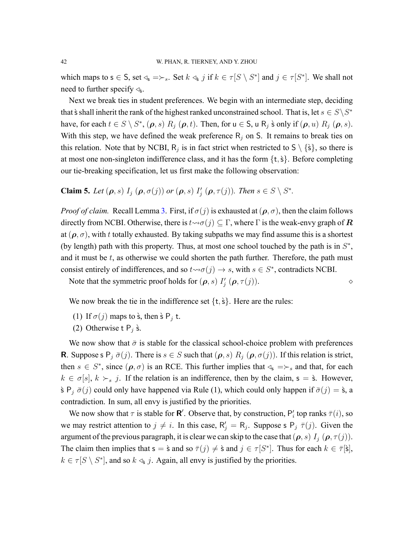which maps to  $s \in S$ , set  $\triangleleft_s \Rightarrow \succ_s$ . Set  $k \triangleleft_s j$  if  $k \in \tau[S \setminus S^*]$  and  $j \in \tau[S^*]$ . We shall not need to further specify ⊲<sub>s</sub>.

Next we break ties in student preferences. We begin with an intermediate step, deciding that  $\hat{s}$  shall inherit the rank of the highest ranked unconstrained school. That is, let  $s \in S \backslash S^*$ have, for each  $t \in S \setminus S^*$ ,  $(\rho, s)$   $R_j$   $(\rho, t)$ . Then, for  $u \in S$ ,  $u \in S_j$  is only if  $(\rho, u)$   $R_j$   $(\rho, s)$ . With this step, we have defined the weak preference  $R_j$  on S. It remains to break ties on this relation. Note that by NCBI,  $R_j$  is in fact strict when restricted to  $S \setminus \{\hat{s}\}\)$ , so there is at most one nonsingleton indifference class, and it has the form *{*t*,*`s*}*. Before completing our tie-breaking specification, let us first make the following observation:

**Claim 5.** Let  $(\boldsymbol{\rho}, s)$   $I_j$   $(\boldsymbol{\rho}, \sigma(j))$  or  $(\boldsymbol{\rho}, s)$   $I'_j$   $(\boldsymbol{\rho}, \tau(j))$ . Then  $s \in S \setminus S^*$ .

*Proof of claim.* Recall Lemma [3](#page-38-3). First, if  $\sigma(j)$  is exhausted at  $(\rho, \sigma)$ , then the claim follows directly from NCBI. Otherwise, there is  $t \leadsto \sigma(j) \subseteq \Gamma$ , where  $\Gamma$  is the weak-envy graph of  $\mathbb{R}$ at  $(\rho, \sigma)$ , with *t* totally exhausted. By taking subpaths we may find assume this is a shortest (by length) path with this property. Thus, at most one school touched by the path is in *S ∗* , and it must be *t*, as otherwise we could shorten the path further. Therefore, the path must consist entirely of indifferences, and so  $t \rightarrow \sigma(j) \rightarrow s$ , with  $s \in S^*$ , contradicts NCBI.

Note that the symmetric proof holds for  $(\rho, s)$  *I'*<sub>1</sub>  $(\rho, \tau(j))$ .

We now break the tie in the indifference set  $\{t, \dot{s}\}$ . Here are the rules:

- (1) If  $\sigma(j)$  maps to  $\dot{\mathsf{s}}$ , then  $\dot{\mathsf{s}}$  P<sub>*j*</sub> t.
- (2) Otherwise t  $P_i$  s.

We now show that  $\bar{\sigma}$  is stable for the classical school-choice problem with preferences **R**. Suppose s  $P_j \overline{\sigma}(j)$ . There is  $s \in S$  such that  $(\rho, s)$   $R_j (\rho, \sigma(j))$ . If this relation is strict, then  $s \in S^*$ , since  $(\rho, \sigma)$  is an RCE. This further implies that  $\triangleleft_s \Rightarrow s$  and that, for each  $k \in \sigma[s], k \succ_s j$ . If the relation is an indifference, then by the claim,  $s = \dot{s}$ . However,  $\sum$   $P_j \bar{\sigma}(j)$  could only have happened via Rule (1), which could only happen if  $\bar{\sigma}(j) = \hat{s}$ , a contradiction. In sum, all envy is justified by the priorities.

We now show that  $\tau$  is stable for **R**'. Observe that, by construction,  $P'_i$  top ranks  $\bar{\tau}(i)$ , so we may restrict attention to  $j \neq i$ . In this case,  $R'_j = R_j$ . Suppose s  $P_j \bar{\tau}(j)$ . Given the argument of the previous paragraph, it is clear we can skip to the case that  $(\rho, s) I_j (\rho, \tau(j))$ . The claim then implies that  $s = \dot{s}$  and so  $\bar{\tau}(j) \neq \dot{s}$  and  $j \in \tau[S^*]$ . Thus for each  $k \in \bar{\tau}[\dot{s}]$ ,  $k \in \tau[S \setminus S^*]$ , and so  $k \triangleleft s$  *j*. Again, all envy is justified by the priorities.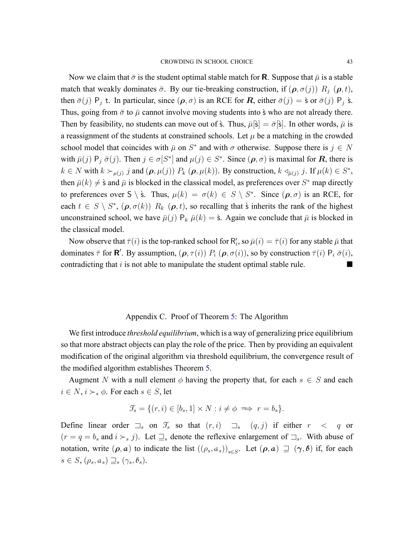Now we claim that  $\bar{\sigma}$  is the student optimal stable match for **R**. Suppose that  $\bar{\mu}$  is a stable match that weakly dominates  $\bar{\sigma}$ . By our tie-breaking construction, if  $(\rho, \sigma(j))$   $R_i$   $(\rho, t)$ , then  $\bar{\sigma}(j)$  P<sub>j</sub> t. In particular, since  $(\rho, \sigma)$  is an RCE for *R*, either  $\bar{\sigma}(j) = \dot{\sigma}$  or  $\bar{\sigma}(j)$  P<sub>j</sub>  $\dot{\sigma}$ . Thus, going from  $\bar{\sigma}$  to  $\bar{\mu}$  cannot involve moving students into  $\dot{\sigma}$  who are not already there. Then by feasibility, no students can move out of  $\hat{s}$ . Thus,  $\bar{\mu}[\hat{s}] = \bar{\sigma}[\hat{s}]$ . In other words,  $\bar{\mu}$  is a reassignment of the students at constrained schools. Let  $\mu$  be a matching in the crowded school model that coincides with  $\bar{\mu}$  on  $S^*$  and with  $\sigma$  otherwise. Suppose there is  $j \in N$ with  $\bar{\mu}(j)$   $P_j \bar{\sigma}(j)$ . Then  $j \in \sigma[S^*]$  and  $\mu(j) \in S^*$ . Since  $(\rho, \sigma)$  is maximal for *R*, there is  $k \in N$  with  $k \succ_{\mu(j)} j$  and  $(\boldsymbol{\rho}, \mu(j))$   $P_k$   $(\boldsymbol{\rho}, \mu(k))$ . By construction,  $k \triangleleft_{\bar{\mu}(j)} j$ . If  $\mu(k) \in S^*$ , then  $\bar{\mu}(k) \neq \hat{s}$  and  $\bar{\mu}$  is blocked in the classical model, as preferences over  $S^*$  map directly to preferences over  $S \setminus \hat{s}$ . Thus,  $\mu(k) = \sigma(k) \in S \setminus S^*$ . Since  $(\rho, \sigma)$  is an RCE, for each  $t \in S \setminus S^*$ ,  $(\rho, \sigma(k))$   $R_k$   $(\rho, t)$ , so recalling that  $\dot{s}$  inherits the rank of the highest unconstrained school, we have  $\bar{\mu}(j)$   $P_k$   $\bar{\mu}(k) = \dot{s}$ . Again we conclude that  $\bar{\mu}$  is blocked in the classical model.

Now observe that  $\bar{\tau}(i)$  is the top-ranked school for  $R'_i$ , so  $\bar{\mu}(i) = \bar{\tau}(i)$  for any stable  $\bar{\mu}$  that dominates  $\bar{\tau}$  for **R**'. By assumption,  $(\rho, \tau(i))$   $P_i$   $(\rho, \sigma(i))$ , so by construction  $\bar{\tau}(i)$   $P_i$   $\bar{\sigma}(i)$ , contradicting that  $i$  is not able to manipulate the student optimal stable rule.

### Appendix C. Proof of Theorem [5:](#page-25-0) The Algorithm

<span id="page-42-0"></span>We first introduce *threshold equilibrium*, which is a way of generalizing price equilibrium so that more abstract objects can play the role of the price. Then by providing an equivalent modification of the original algorithm via threshold equilibrium, the convergence result of the modified algorithm establishes Theorem [5](#page-25-0).

Augment *N* with a null element  $\phi$  having the property that, for each  $s \in S$  and each  $i \in N$ ,  $i \succ s$   $\phi$ . For each  $s \in S$ , let

$$
\mathcal{T}_s = \{ (r, i) \in [b_s, 1] \times N : i \neq \phi \implies r = b_s \}.
$$

Define linear order  $\Box_s$  on  $\mathcal{T}_s$  so that  $(r, i)$   $\Box_s$   $(q, j)$  if either  $r < q$  or  $(r = q = b_s \text{ and } i \succ_s j)$ . Let  $\exists_s$  denote the reflexive enlargement of  $\exists_s$ . With abuse of notation, write  $(\rho, a)$  to indicate the list  $((\rho_s, a_s))_{s \in S}$ . Let  $(\rho, a) \supseteq (\gamma, \beta)$  if, for each  $s \in S$ ,  $(\rho_s, a_s) \sqsupseteq_s (\gamma_s, \delta_s)$ .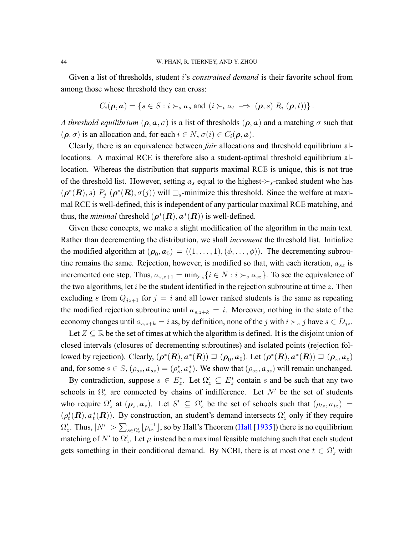Given a list of thresholds, student *i*'s *constrained demand* is their favorite school from among those whose threshold they can cross:

$$
C_i(\boldsymbol{\rho}, \boldsymbol{a}) = \{ s \in S : i \succ_s a_s \text{ and } (i \succ_t a_t \implies (\boldsymbol{\rho}, s) R_i (\boldsymbol{\rho}, t)) \}.
$$

*A threshold equilibrium*  $(\rho, a, \sigma)$  is a list of thresholds  $(\rho, a)$  and a matching  $\sigma$  such that  $(\rho, \sigma)$  is an allocation and, for each  $i \in N$ ,  $\sigma(i) \in C_i(\rho, \mathbf{a})$ .

Clearly, there is an equivalence between *fair* allocations and threshold equilibrium allocations. A maximal RCE is therefore also a student-optimal threshold equilibrium allocation. Whereas the distribution that supports maximal RCE is unique, this is not true of the threshold list. However, setting  $a_s$  equal to the highest- $\succ_s$ -ranked student who has  $(\rho^*(\mathbf{R}), s)$   $P_j$   $(\rho^*(\mathbf{R}), \sigma(j))$  will  $\exists_s$ -minimize this threshold. Since the welfare at maximal RCE is well-defined, this is independent of any particular maximal RCE matching, and thus, the *minimal* threshold  $(\rho^*(\mathbf{R}), \mathbf{a}^*(\mathbf{R}))$  is well-defined.

Given these concepts, we make a slight modification of the algorithm in the main text. Rather than decrementing the distribution, we shall *increment* the threshold list. Initialize the modified algorithm at  $(\rho_0, a_0) = ((1, \ldots, 1), (\phi, \ldots, \phi))$ . The decrementing subroutine remains the same. Rejection, however, is modified so that, with each iteration,  $a_{sz}$  is incremented one step. Thus,  $a_{s,z+1} = \min_{\succ s} \{i \in N : i \succ_s a_{sz}\}\$ . To see the equivalence of the two algorithms, let *i* be the student identified in the rejection subroutine at time *z*. Then excluding *s* from  $Q_{jz+1}$  for  $j = i$  and all lower ranked students is the same as repeating the modified rejection subroutine until  $a_{s,z+k} = i$ . Moreover, nothing in the state of the economy changes until  $a_{s,z+k} = i$  as, by definition, none of the *j* with  $i \succ_s j$  have  $s \in D_{iz}$ .

Let  $Z \subseteq \mathbb{R}$  be the set of times at which the algorithm is defined. It is the disjoint union of closed intervals (closures of decrementing subroutines) and isolated points (rejection followed by rejection). Clearly,  $(\bm{\rho}^*(\bm{R}),\bm{a}^*(\bm{R}))\sqsupseteq(\bm{\rho}_0,\bm{a}_0).$  Let  $(\bm{\rho}^*(\bm{R}),\bm{a}^*(\bm{R}))\sqsupseteq(\bm{\rho}_z,\bm{a}_z)$ and, for some  $s \in S$ ,  $(\rho_{sz}, a_{sz}) = (\rho_s^*, a_s^*)$ . We show that  $(\rho_{sz}, a_{sz})$  will remain unchanged.

By contradiction, suppose  $s \in E_z^*$ . Let  $\Omega'_z \subseteq E_z^*$  contain *s* and be such that any two schools in  $\Omega'_z$  are connected by chains of indifference. Let  $N'$  be the set of students who require  $\Omega'_z$  at  $(\rho_z, a_z)$ . Let  $S' \subseteq \Omega'_z$  be the set of schools such that  $(\rho_{tz}, a_{tz})$  =  $(\rho_t^*(\mathbf{R}), a_t^*(\mathbf{R}))$ . By construction, an student's demand intersects  $\Omega'_z$  only if they require  $\Omega'_{z}$ . Thus,  $|N'| > \sum_{s \in \Omega'_{z}} \lfloor \rho_{tz}^{-1} \rfloor$ , so by Hall's Theorem [\(Hall](#page-46-14) [\[1935](#page-46-14)]) there is no equilibrium matching of  $N'$  to  $\Omega'_{z}$ . Let  $\mu$  instead be a maximal feasible matching such that each student gets something in their conditional demand. By NCBI, there is at most one  $t \in \Omega'_z$  with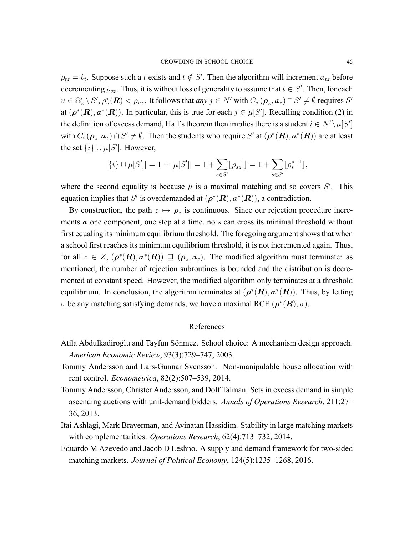$\rho_{tz} = b_t$ . Suppose such a *t* exists and  $t \notin S'$ . Then the algorithm will increment  $a_{tz}$  before decrementing  $\rho_{sz}$ . Thus, it is without loss of generality to assume that  $t \in S'$ . Then, for each  $u\in\Omega_z'\setminus S'$ ,  $\rho_u^*(\bm R)<\rho_{uz}.$  It follows that *any*  $j\in N'$  with  $C_j\left(\bm\rho_z,\bm a_z\right)\cap S'\neq\emptyset$  requires  $S'$ at  $(\rho^*(\mathbf{R}), \mathbf{a}^*(\mathbf{R}))$ . In particular, this is true for each  $j \in \mu[S']$ . Recalling condition (2) in the definition of excess demand, Hall's theorem then implies there is a student  $i \in N' \setminus \mu[S']$ with  $C_i$   $(\bm{\rho}_z, \bm{a}_z) \cap S' \neq \emptyset$ . Then the students who require S' at  $(\bm{\rho}^*(\bm{R}), \bm{a}^*(\bm{R}))$  are at least the set  $\{i\} \cup \mu[S']$ . However,

$$
|\{i\} \cup \mu[S']| = 1 + |\mu[S']| = 1 + \sum_{s \in S'} \lfloor \rho_{sz}^{-1} \rfloor = 1 + \sum_{s \in S'} \lfloor \rho_s^{*-1} \rfloor,
$$

where the second equality is because  $\mu$  is a maximal matching and so covers *S'*. This equation implies that *S'* is overdemanded at  $(\rho^*(\mathbf{R}), \mathbf{a}^*(\mathbf{R}))$ , a contradiction.

By construction, the path  $z \mapsto \rho_z$  is continuous. Since our rejection procedure increments **a** one component, one step at a time, no *s* can cross its minimal threshold without first equaling its minimum equilibrium threshold. The foregoing argument shows that when a school first reaches its minimum equilibrium threshold, it is not incremented again. Thus, for all  $z \in Z$ ,  $(\rho^*(R), \mathbf{a}^*(R)) \supseteq (\rho_z, \mathbf{a}_z)$ . The modified algorithm must terminate: as mentioned, the number of rejection subroutines is bounded and the distribution is decremented at constant speed. However, the modified algorithm only terminates at a threshold equilibrium. In conclusion, the algorithm terminates at  $(\rho^*(R), a^*(R))$ . Thus, by letting *σ* be any matching satisfying demands, we have a maximal RCE ( $ρ^*(R), σ$ ).

### References

- <span id="page-44-0"></span>Atila Abdulkadiroğlu and Tayfun Sönmez. School choice: A mechanism design approach. *American Economic Review*, 93(3):729–747, 2003.
- <span id="page-44-2"></span>Tommy Andersson and Lars-Gunnar Svensson. Non-manipulable house allocation with rent control. *Econometrica*, 82(2):507–539, 2014.
- <span id="page-44-4"></span>Tommy Andersson, Christer Andersson, and Dolf Talman. Sets in excess demand in simple ascending auctions with unit-demand bidders. *Annals of Operations Research*, 211:27– 36, 2013.
- <span id="page-44-1"></span>Itai Ashlagi, Mark Braverman, and Avinatan Hassidim. Stability in large matching markets with complementarities. *Operations Research*, 62(4):713–732, 2014.
- <span id="page-44-3"></span>Eduardo M Azevedo and Jacob D Leshno. A supply and demand framework for two-sided matching markets. *Journal of Political Economy*, 124(5):1235–1268, 2016.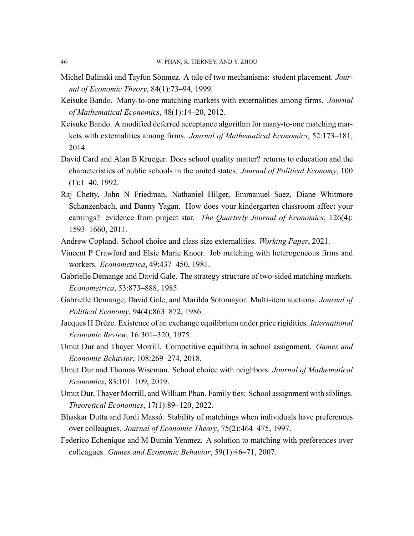- <span id="page-45-12"></span>Michel Balinski and Tayfun Sönmez. A tale of two mechanisms: student placement. *Journal of Economic Theory*, 84(1):73–94, 1999.
- <span id="page-45-4"></span>Keisuke Bando. Many-to-one matching markets with externalities among firms. *Journal of Mathematical Economics*, 48(1):14–20, 2012.
- <span id="page-45-5"></span>Keisuke Bando. A modified deferred acceptance algorithm for many-to-one matching markets with externalities among firms. *Journal of Mathematical Economics*, 52:173–181, 2014.
- <span id="page-45-0"></span>David Card and Alan B Krueger. Does school quality matter? returns to education and the characteristics of public schools in the united states. *Journal of Political Economy*, 100  $(1):1-40, 1992.$
- <span id="page-45-1"></span>Raj Chetty, John N Friedman, Nathaniel Hilger, Emmanuel Saez, Diane Whitmore Schanzenbach, and Danny Yagan. How does your kindergarten classroom affect your earnings? evidence from project star. *The Quarterly Journal of Economics*, 126(4): 1593–1660, 2011.
- <span id="page-45-3"></span>Andrew Copland. School choice and class size externalities. *Working Paper*, 2021.
- <span id="page-45-14"></span>Vincent P Crawford and Elsie Marie Knoer. Job matching with heterogeneous firms and workers. *Econometrica*, 49:437–450, 1981.
- <span id="page-45-10"></span>Gabrielle Demange and David Gale. The strategy structure of two-sided matching markets. *Econometrica*, 53:873–888, 1985.
- <span id="page-45-2"></span>Gabrielle Demange, David Gale, and Marilda Sotomayor. Multi-item auctions. *Journal of Political Economy*, 94(4):863–872, 1986.
- <span id="page-45-11"></span>Jacques H Drèze. Existence of an exchange equilibrium under price rigidities. *International Economic Review*, 16:301–320, 1975.
- <span id="page-45-13"></span>Umut Dur and Thayer Morrill. Competitive equilibria in school assignment. *Games and Economic Behavior*, 108:269–274, 2018.
- <span id="page-45-8"></span>Umut Dur and Thomas Wiseman. School choice with neighbors. *Journal of Mathematical Economics*, 83:101–109, 2019.
- <span id="page-45-9"></span>Umut Dur, Thayer Morrill, and William Phan. Family ties: School assignment with siblings. *Theoretical Economics*, 17(1):89–120, 2022.
- <span id="page-45-6"></span>Bhaskar Dutta and Jordi Massó. Stability of matchings when individuals have preferences over colleagues. *Journal of Economic Theory*, 75(2):464–475, 1997.
- <span id="page-45-7"></span>Federico Echenique and M Bumin Yenmez. A solution to matching with preferences over colleagues. *Games and Economic Behavior*, 59(1):46–71, 2007.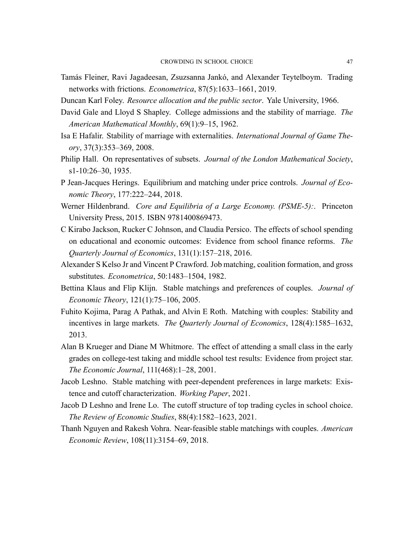- <span id="page-46-13"></span>Tamás Fleiner, Ravi Jagadeesan, Zsuzsanna Jankó, and Alexander Teytelboym. Trading networks with frictions. *Econometrica*, 87(5):1633–1661, 2019.
- <span id="page-46-10"></span>Duncan Karl Foley. *Resource allocation and the public sector*. Yale University, 1966.
- <span id="page-46-2"></span>David Gale and Lloyd S Shapley. College admissions and the stability of marriage. *The American Mathematical Monthly*, 69(1):9–15, 1962.
- <span id="page-46-3"></span>Isa E Hafalir. Stability of marriage with externalities. *International Journal of Game Theory*, 37(3):353–369, 2008.
- <span id="page-46-14"></span>Philip Hall. On representatives of subsets. *Journal of the London Mathematical Society*, s1-10:26-30, 1935.
- <span id="page-46-8"></span>P Jean-Jacques Herings. Equilibrium and matching under price controls. *Journal of Economic Theory*, 177:222–244, 2018.
- <span id="page-46-11"></span>Werner Hildenbrand. *Core and Equilibria of a Large Economy. (PSME-5):*. Princeton University Press, 2015. ISBN 9781400869473.
- <span id="page-46-1"></span>C Kirabo Jackson, Rucker C Johnson, and Claudia Persico. The effects of school spending on educational and economic outcomes: Evidence from school finance reforms. *The Quarterly Journal of Economics*, 131(1):157–218, 2016.
- <span id="page-46-12"></span>Alexander S Kelso Jr and Vincent P Crawford. Job matching, coalition formation, and gross substitutes. *Econometrica*, 50:1483–1504, 1982.
- <span id="page-46-5"></span>Bettina Klaus and Flip Klijn. Stable matchings and preferences of couples. *Journal of Economic Theory*, 121(1):75–106, 2005.
- <span id="page-46-6"></span>Fuhito Kojima, Parag A Pathak, and Alvin E Roth. Matching with couples: Stability and incentives in large markets. *The Quarterly Journal of Economics*, 128(4):1585–1632, 2013.
- <span id="page-46-0"></span>Alan B Krueger and Diane M Whitmore. The effect of attending a small class in the early grades on college-test taking and middle school test results: Evidence from project star. *The Economic Journal*, 111(468):1–28, 2001.
- <span id="page-46-4"></span>Jacob Leshno. Stable matching with peer-dependent preferences in large markets: Existence and cutoff characterization. *Working Paper*, 2021.
- <span id="page-46-9"></span>Jacob D Leshno and Irene Lo. The cutoff structure of top trading cycles in school choice. *The Review of Economic Studies*, 88(4):1582–1623, 2021.
- <span id="page-46-7"></span>Thanh Nguyen and Rakesh Vohra. Near-feasible stable matchings with couples. *American Economic Review*, 108(11):3154–69, 2018.